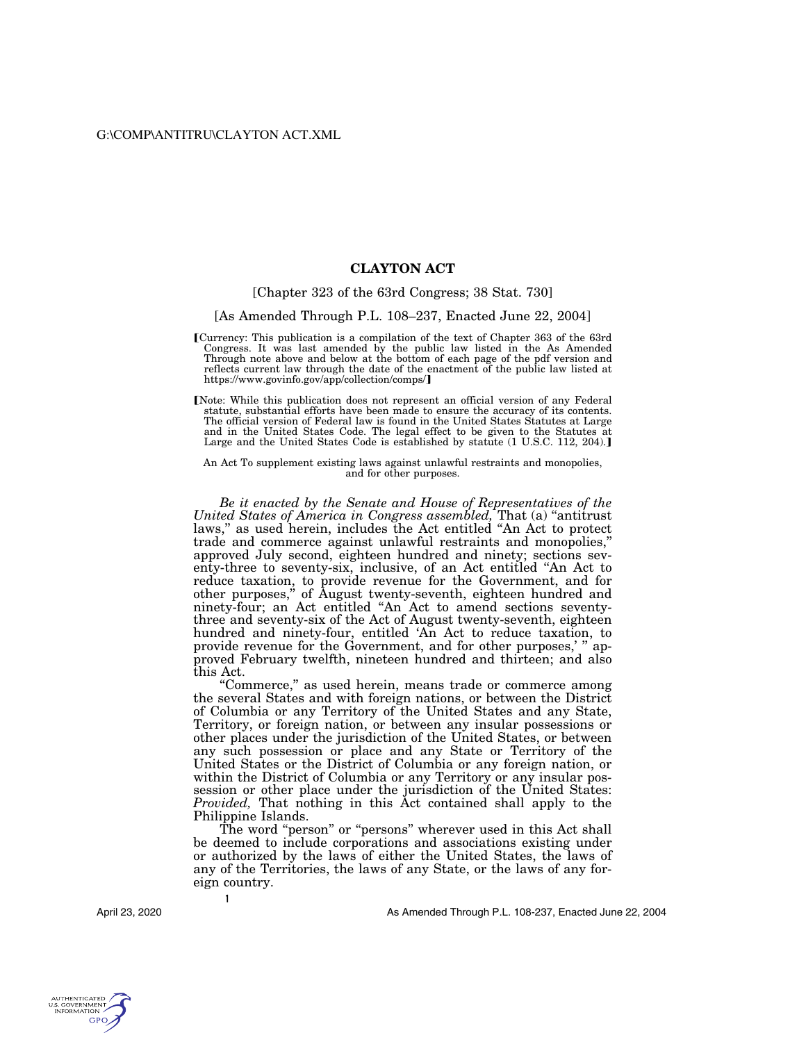# **CLAYTON ACT**

## [Chapter 323 of the 63rd Congress; 38 Stat. 730]

[As Amended Through P.L. 108–237, Enacted June 22, 2004]

øCurrency: This publication is a compilation of the text of Chapter 363 of the 63rd Congress. It was last amended by the public law listed in the As Amended Through note above and below at the bottom of each page of the pdf version and reflects current law through the date of the enactment of the public law listed at https://www.govinfo.gov/app/collection/comps/]

Note: While this publication does not represent an official version of any Federal statute, substantial efforts have been made to ensure the accuracy of its contents. The official version of Federal law is found in the United States Statutes at Large and in the United States Code. The legal effect to be given to the Statutes at Large and the United States Code is established by statute (1 U.S.C. 112, 204).]

An Act To supplement existing laws against unlawful restraints and monopolies, and for other purposes.

*Be it enacted by the Senate and House of Representatives of the United States of America in Congress assembled,* That (a) ''antitrust laws,'' as used herein, includes the Act entitled ''An Act to protect trade and commerce against unlawful restraints and monopolies,'' approved July second, eighteen hundred and ninety; sections seventy-three to seventy-six, inclusive, of an Act entitled ''An Act to reduce taxation, to provide revenue for the Government, and for other purposes,'' of August twenty-seventh, eighteen hundred and ninety-four; an Act entitled ''An Act to amend sections seventythree and seventy-six of the Act of August twenty-seventh, eighteen hundred and ninety-four, entitled 'An Act to reduce taxation, to provide revenue for the Government, and for other purposes,' '' approved February twelfth, nineteen hundred and thirteen; and also this Act.

"Commerce," as used herein, means trade or commerce among the several States and with foreign nations, or between the District of Columbia or any Territory of the United States and any State, Territory, or foreign nation, or between any insular possessions or other places under the jurisdiction of the United States, or between any such possession or place and any State or Territory of the United States or the District of Columbia or any foreign nation, or within the District of Columbia or any Territory or any insular possession or other place under the jurisdiction of the United States: *Provided,* That nothing in this Act contained shall apply to the Philippine Islands.

The word ''person'' or ''persons'' wherever used in this Act shall be deemed to include corporations and associations existing under or authorized by the laws of either the United States, the laws of any of the Territories, the laws of any State, or the laws of any foreign country.

April 23, 2020

**1**

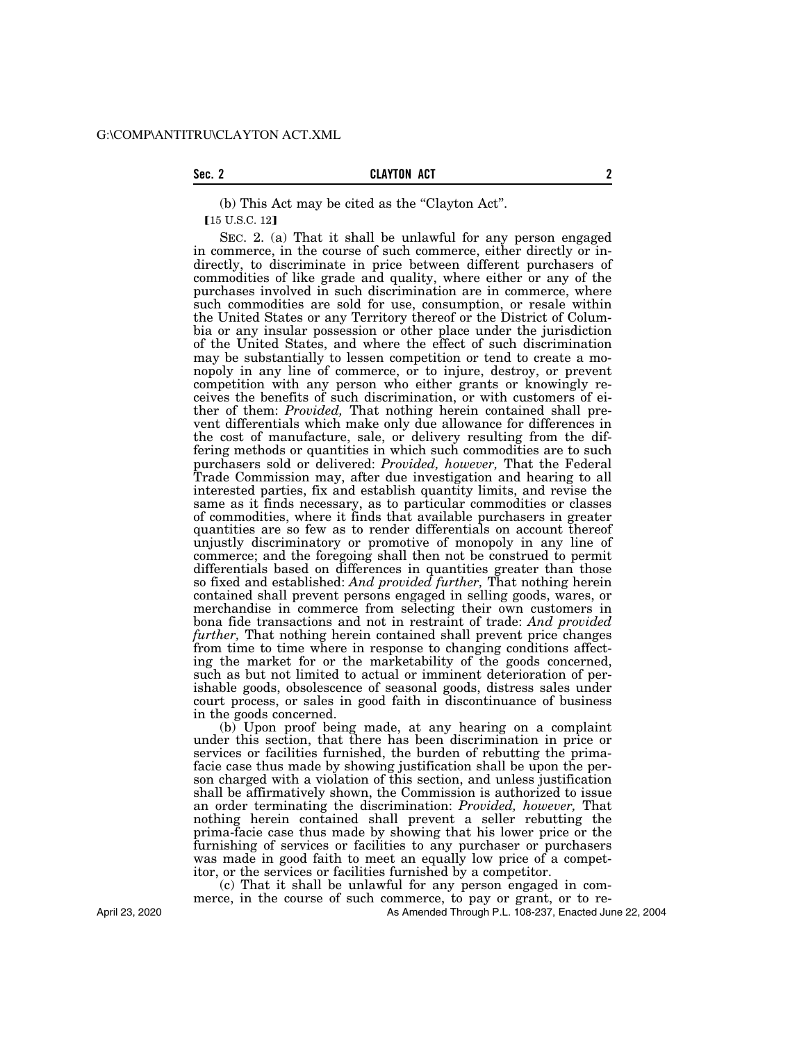#### Sec. 2 **CLAYTON ACT** 2

(b) This Act may be cited as the "Clayton Act". [15 U.S.C. 12]

SEC. 2. (a) That it shall be unlawful for any person engaged in commerce, in the course of such commerce, either directly or indirectly, to discriminate in price between different purchasers of commodities of like grade and quality, where either or any of the purchases involved in such discrimination are in commerce, where such commodities are sold for use, consumption, or resale within the United States or any Territory thereof or the District of Columbia or any insular possession or other place under the jurisdiction of the United States, and where the effect of such discrimination may be substantially to lessen competition or tend to create a monopoly in any line of commerce, or to injure, destroy, or prevent competition with any person who either grants or knowingly receives the benefits of such discrimination, or with customers of either of them: *Provided,* That nothing herein contained shall prevent differentials which make only due allowance for differences in the cost of manufacture, sale, or delivery resulting from the differing methods or quantities in which such commodities are to such purchasers sold or delivered: *Provided, however,* That the Federal Trade Commission may, after due investigation and hearing to all interested parties, fix and establish quantity limits, and revise the same as it finds necessary, as to particular commodities or classes of commodities, where it finds that available purchasers in greater quantities are so few as to render differentials on account thereof unjustly discriminatory or promotive of monopoly in any line of commerce; and the foregoing shall then not be construed to permit differentials based on differences in quantities greater than those so fixed and established: *And provided further,* That nothing herein contained shall prevent persons engaged in selling goods, wares, or merchandise in commerce from selecting their own customers in bona fide transactions and not in restraint of trade: *And provided further,* That nothing herein contained shall prevent price changes from time to time where in response to changing conditions affecting the market for or the marketability of the goods concerned, such as but not limited to actual or imminent deterioration of perishable goods, obsolescence of seasonal goods, distress sales under court process, or sales in good faith in discontinuance of business in the goods concerned.

(b) Upon proof being made, at any hearing on a complaint under this section, that there has been discrimination in price or services or facilities furnished, the burden of rebutting the primafacie case thus made by showing justification shall be upon the person charged with a violation of this section, and unless justification shall be affirmatively shown, the Commission is authorized to issue an order terminating the discrimination: *Provided, however,* That nothing herein contained shall prevent a seller rebutting the prima-facie case thus made by showing that his lower price or the furnishing of services or facilities to any purchaser or purchasers was made in good faith to meet an equally low price of a competitor, or the services or facilities furnished by a competitor.

(c) That it shall be unlawful for any person engaged in commerce, in the course of such commerce, to pay or grant, or to re-

As Amended Through P.L. 108-237, Enacted June 22, 2004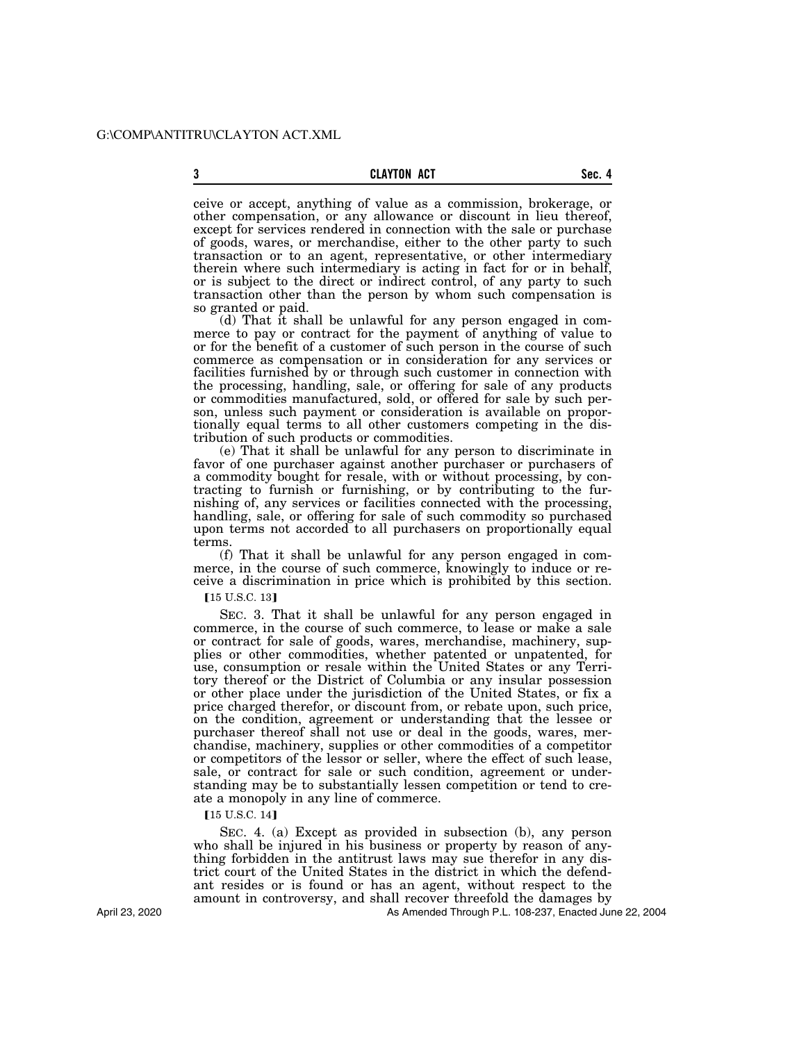**CLAYTON ACT** Sec. 4

ceive or accept, anything of value as a commission, brokerage, or other compensation, or any allowance or discount in lieu thereof, except for services rendered in connection with the sale or purchase of goods, wares, or merchandise, either to the other party to such transaction or to an agent, representative, or other intermediary therein where such intermediary is acting in fact for or in behalf, or is subject to the direct or indirect control, of any party to such transaction other than the person by whom such compensation is so granted or paid.

(d) That it shall be unlawful for any person engaged in commerce to pay or contract for the payment of anything of value to or for the benefit of a customer of such person in the course of such commerce as compensation or in consideration for any services or facilities furnished by or through such customer in connection with the processing, handling, sale, or offering for sale of any products or commodities manufactured, sold, or offered for sale by such person, unless such payment or consideration is available on proportionally equal terms to all other customers competing in the distribution of such products or commodities.

(e) That it shall be unlawful for any person to discriminate in favor of one purchaser against another purchaser or purchasers of a commodity bought for resale, with or without processing, by contracting to furnish or furnishing, or by contributing to the furnishing of, any services or facilities connected with the processing, handling, sale, or offering for sale of such commodity so purchased upon terms not accorded to all purchasers on proportionally equal terms.

(f) That it shall be unlawful for any person engaged in commerce, in the course of such commerce, knowingly to induce or receive a discrimination in price which is prohibited by this section.

 $I$ 15 U.S.C. 13 $I$ 

SEC. 3. That it shall be unlawful for any person engaged in commerce, in the course of such commerce, to lease or make a sale or contract for sale of goods, wares, merchandise, machinery, supplies or other commodities, whether patented or unpatented, for use, consumption or resale within the United States or any Territory thereof or the District of Columbia or any insular possession or other place under the jurisdiction of the United States, or fix a price charged therefor, or discount from, or rebate upon, such price, on the condition, agreement or understanding that the lessee or purchaser thereof shall not use or deal in the goods, wares, merchandise, machinery, supplies or other commodities of a competitor or competitors of the lessor or seller, where the effect of such lease, sale, or contract for sale or such condition, agreement or understanding may be to substantially lessen competition or tend to create a monopoly in any line of commerce.

**[15 U.S.C. 14]** 

SEC. 4. (a) Except as provided in subsection (b), any person who shall be injured in his business or property by reason of anything forbidden in the antitrust laws may sue therefor in any district court of the United States in the district in which the defendant resides or is found or has an agent, without respect to the amount in controversy, and shall recover threefold the damages by

As Amended Through P.L. 108-237, Enacted June 22, 2004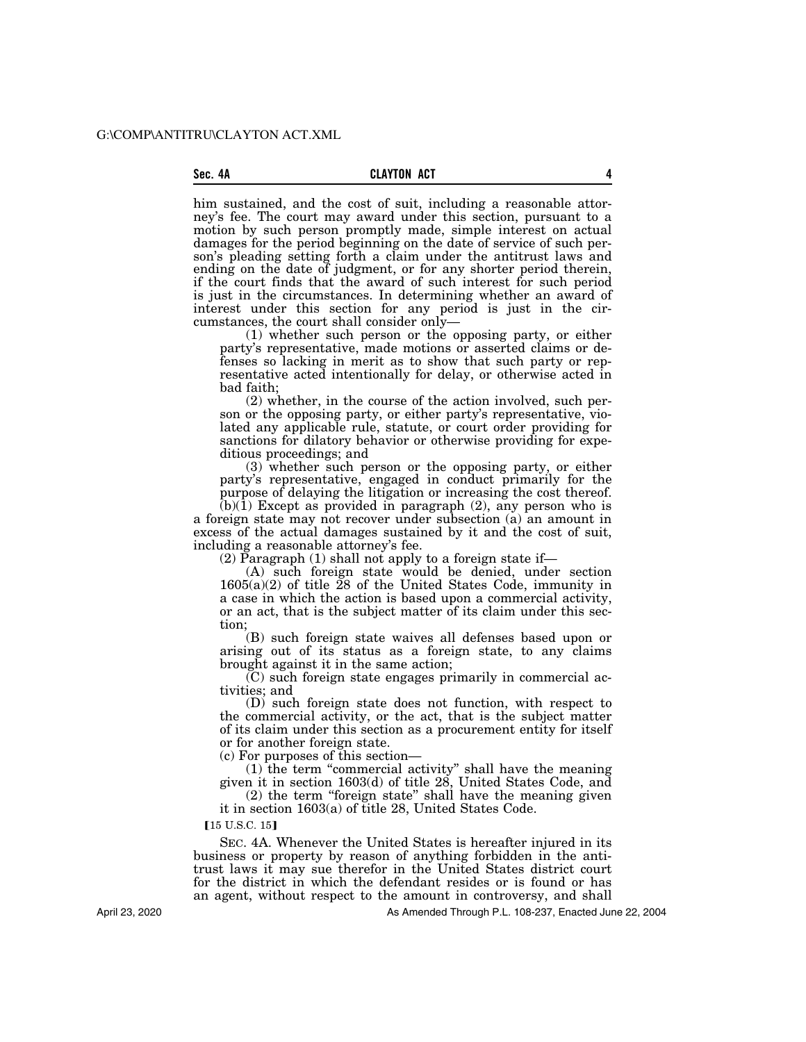him sustained, and the cost of suit, including a reasonable attorney's fee. The court may award under this section, pursuant to a motion by such person promptly made, simple interest on actual damages for the period beginning on the date of service of such person's pleading setting forth a claim under the antitrust laws and ending on the date of judgment, or for any shorter period therein, if the court finds that the award of such interest for such period is just in the circumstances. In determining whether an award of interest under this section for any period is just in the circumstances, the court shall consider only—

(1) whether such person or the opposing party, or either party's representative, made motions or asserted claims or defenses so lacking in merit as to show that such party or representative acted intentionally for delay, or otherwise acted in bad faith;

(2) whether, in the course of the action involved, such person or the opposing party, or either party's representative, violated any applicable rule, statute, or court order providing for sanctions for dilatory behavior or otherwise providing for expeditious proceedings; and

(3) whether such person or the opposing party, or either party's representative, engaged in conduct primarily for the purpose of delaying the litigation or increasing the cost thereof.

 $(b)(1)$  Except as provided in paragraph  $(2)$ , any person who is a foreign state may not recover under subsection (a) an amount in excess of the actual damages sustained by it and the cost of suit, including a reasonable attorney's fee.

(2) Paragraph (1) shall not apply to a foreign state if—

(A) such foreign state would be denied, under section  $1605(a)(2)$  of title 28 of the United States Code, immunity in a case in which the action is based upon a commercial activity, or an act, that is the subject matter of its claim under this section;

(B) such foreign state waives all defenses based upon or arising out of its status as a foreign state, to any claims brought against it in the same action;

(C) such foreign state engages primarily in commercial activities; and

(D) such foreign state does not function, with respect to the commercial activity, or the act, that is the subject matter of its claim under this section as a procurement entity for itself or for another foreign state.

(c) For purposes of this section—

(1) the term ''commercial activity'' shall have the meaning given it in section 1603(d) of title 28, United States Code, and

(2) the term ''foreign state'' shall have the meaning given it in section 1603(a) of title 28, United States Code.

[15 U.S.C. 15]

SEC. 4A. Whenever the United States is hereafter injured in its business or property by reason of anything forbidden in the antitrust laws it may sue therefor in the United States district court for the district in which the defendant resides or is found or has an agent, without respect to the amount in controversy, and shall

As Amended Through P.L. 108-237, Enacted June 22, 2004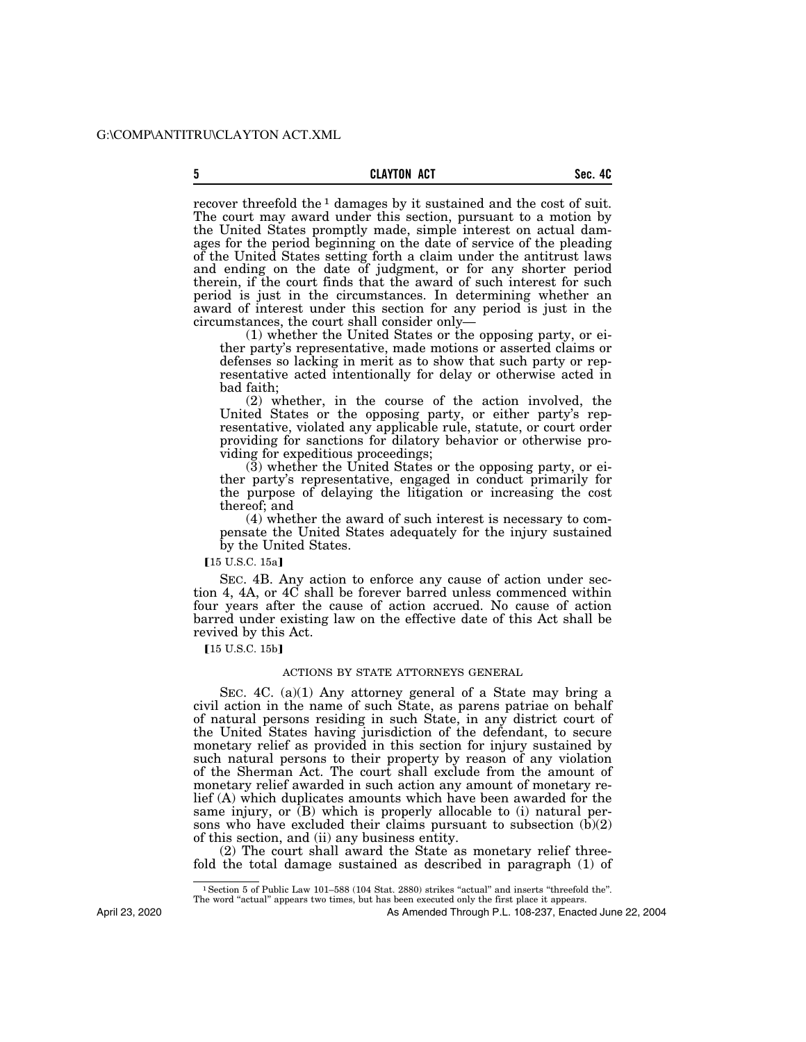#### **5 Sec. 4C CLAYTON ACT**

recover threefold the  $1$  damages by it sustained and the cost of suit. The court may award under this section, pursuant to a motion by the United States promptly made, simple interest on actual damages for the period beginning on the date of service of the pleading of the United States setting forth a claim under the antitrust laws and ending on the date of judgment, or for any shorter period therein, if the court finds that the award of such interest for such period is just in the circumstances. In determining whether an award of interest under this section for any period is just in the circumstances, the court shall consider only—

(1) whether the United States or the opposing party, or either party's representative, made motions or asserted claims or defenses so lacking in merit as to show that such party or representative acted intentionally for delay or otherwise acted in bad faith;

(2) whether, in the course of the action involved, the United States or the opposing party, or either party's representative, violated any applicable rule, statute, or court order providing for sanctions for dilatory behavior or otherwise providing for expeditious proceedings;

 $(3)$  whether the United States or the opposing party, or either party's representative, engaged in conduct primarily for the purpose of delaying the litigation or increasing the cost thereof; and

(4) whether the award of such interest is necessary to compensate the United States adequately for the injury sustained by the United States.

# **[15 U.S.C. 15a]**

SEC. 4B. Any action to enforce any cause of action under section 4, 4A, or 4C shall be forever barred unless commenced within four years after the cause of action accrued. No cause of action barred under existing law on the effective date of this Act shall be revived by this Act.

[15 U.S.C. 15b]

#### ACTIONS BY STATE ATTORNEYS GENERAL

SEC. 4C. (a)(1) Any attorney general of a State may bring a civil action in the name of such State, as parens patriae on behalf of natural persons residing in such State, in any district court of the United States having jurisdiction of the defendant, to secure monetary relief as provided in this section for injury sustained by such natural persons to their property by reason of any violation of the Sherman Act. The court shall exclude from the amount of monetary relief awarded in such action any amount of monetary relief (A) which duplicates amounts which have been awarded for the same injury, or (B) which is properly allocable to (i) natural persons who have excluded their claims pursuant to subsection  $(b)(2)$ of this section, and (ii) any business entity.

(2) The court shall award the State as monetary relief threefold the total damage sustained as described in paragraph (1) of

<sup>&</sup>lt;sup>1</sup> Section 5 of Public Law 101-588 (104 Stat. 2880) strikes "actual" and inserts "threefold the".

The word "actual" appears two times, but has been executed only the first place it appears.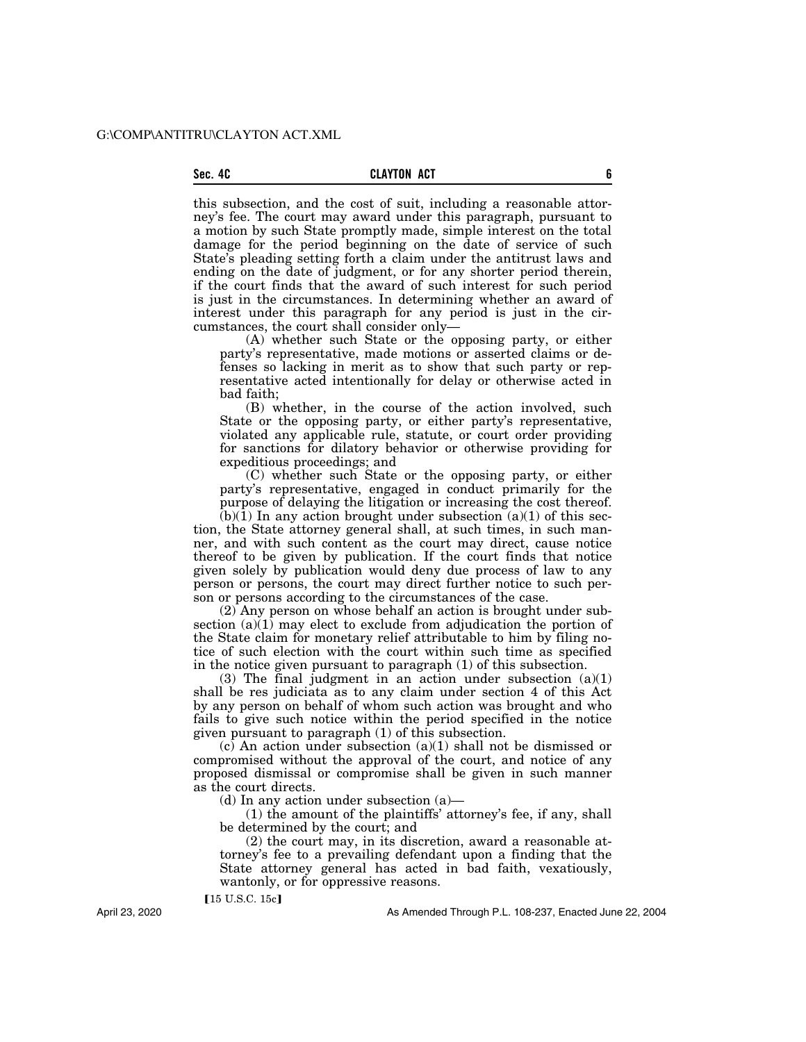## Sec. 4C **CLAYTON ACT** 6

this subsection, and the cost of suit, including a reasonable attorney's fee. The court may award under this paragraph, pursuant to a motion by such State promptly made, simple interest on the total damage for the period beginning on the date of service of such State's pleading setting forth a claim under the antitrust laws and ending on the date of judgment, or for any shorter period therein, if the court finds that the award of such interest for such period is just in the circumstances. In determining whether an award of interest under this paragraph for any period is just in the circumstances, the court shall consider only—

(A) whether such State or the opposing party, or either party's representative, made motions or asserted claims or defenses so lacking in merit as to show that such party or representative acted intentionally for delay or otherwise acted in bad faith;

(B) whether, in the course of the action involved, such State or the opposing party, or either party's representative, violated any applicable rule, statute, or court order providing for sanctions for dilatory behavior or otherwise providing for expeditious proceedings; and

(C) whether such State or the opposing party, or either party's representative, engaged in conduct primarily for the purpose of delaying the litigation or increasing the cost thereof.

 $(b)(1)$  In any action brought under subsection  $(a)(1)$  of this section, the State attorney general shall, at such times, in such manner, and with such content as the court may direct, cause notice thereof to be given by publication. If the court finds that notice given solely by publication would deny due process of law to any person or persons, the court may direct further notice to such person or persons according to the circumstances of the case.

(2) Any person on whose behalf an action is brought under subsection  $(a)(1)$  may elect to exclude from adjudication the portion of the State claim for monetary relief attributable to him by filing notice of such election with the court within such time as specified in the notice given pursuant to paragraph (1) of this subsection.

(3) The final judgment in an action under subsection  $(a)(1)$ shall be res judiciata as to any claim under section 4 of this Act by any person on behalf of whom such action was brought and who fails to give such notice within the period specified in the notice given pursuant to paragraph (1) of this subsection.

(c) An action under subsection (a)(1) shall not be dismissed or compromised without the approval of the court, and notice of any proposed dismissal or compromise shall be given in such manner as the court directs.

(d) In any action under subsection (a)—

(1) the amount of the plaintiffs' attorney's fee, if any, shall be determined by the court; and

(2) the court may, in its discretion, award a reasonable attorney's fee to a prevailing defendant upon a finding that the State attorney general has acted in bad faith, vexatiously, wantonly, or for oppressive reasons.

[15 U.S.C. 15c]

As Amended Through P.L. 108-237, Enacted June 22, 2004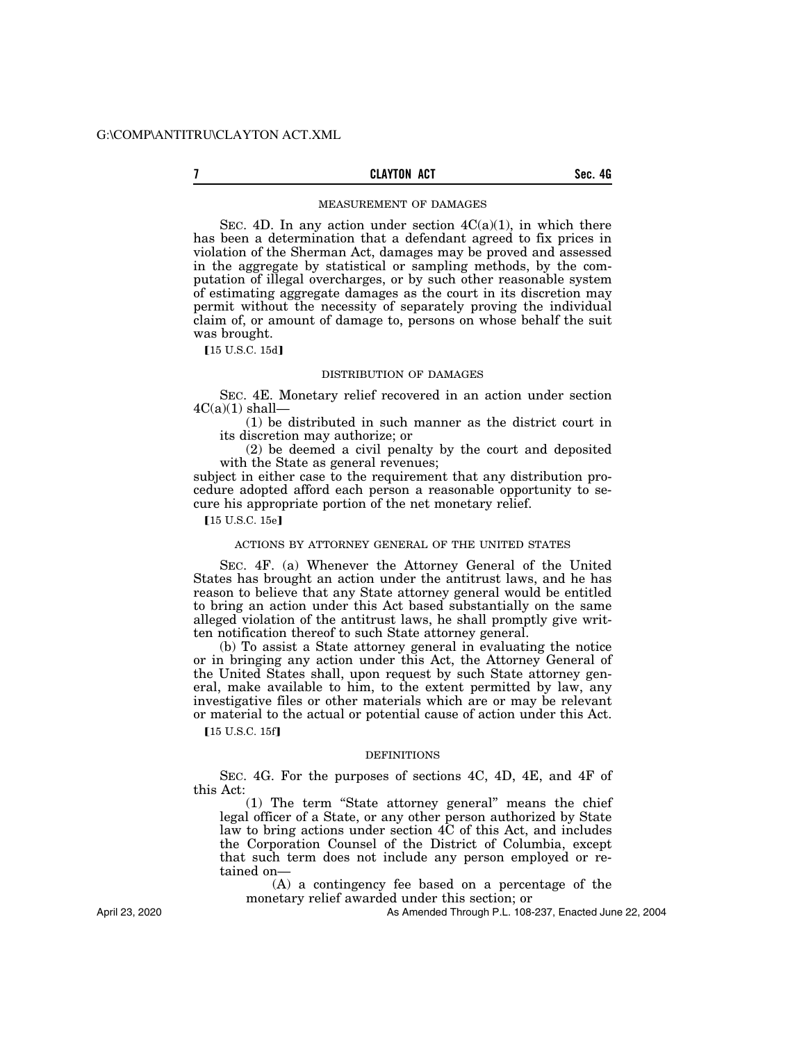## **7 Sec. 4G CLAYTON ACT**

SEC. 4D. In any action under section  $4C(a)(1)$ , in which there has been a determination that a defendant agreed to fix prices in violation of the Sherman Act, damages may be proved and assessed in the aggregate by statistical or sampling methods, by the computation of illegal overcharges, or by such other reasonable system of estimating aggregate damages as the court in its discretion may permit without the necessity of separately proving the individual claim of, or amount of damage to, persons on whose behalf the suit was brought.

 $[15 \text{ U.S.C. } 15d]$ 

#### DISTRIBUTION OF DAMAGES

SEC. 4E. Monetary relief recovered in an action under section  $4C(a)(1)$  shall-

(1) be distributed in such manner as the district court in its discretion may authorize; or

(2) be deemed a civil penalty by the court and deposited with the State as general revenues;

subject in either case to the requirement that any distribution procedure adopted afford each person a reasonable opportunity to secure his appropriate portion of the net monetary relief.

**[15 U.S.C. 15e]** 

#### ACTIONS BY ATTORNEY GENERAL OF THE UNITED STATES

SEC. 4F. (a) Whenever the Attorney General of the United States has brought an action under the antitrust laws, and he has reason to believe that any State attorney general would be entitled to bring an action under this Act based substantially on the same alleged violation of the antitrust laws, he shall promptly give written notification thereof to such State attorney general.

(b) To assist a State attorney general in evaluating the notice or in bringing any action under this Act, the Attorney General of the United States shall, upon request by such State attorney general, make available to him, to the extent permitted by law, any investigative files or other materials which are or may be relevant or material to the actual or potential cause of action under this Act.

 $[15$  U.S.C.  $15f]$ 

#### **DEFINITIONS**

SEC. 4G. For the purposes of sections 4C, 4D, 4E, and 4F of this Act:

(1) The term ''State attorney general'' means the chief legal officer of a State, or any other person authorized by State law to bring actions under section 4C of this Act, and includes the Corporation Counsel of the District of Columbia, except that such term does not include any person employed or retained on—

(A) a contingency fee based on a percentage of the monetary relief awarded under this section; or

As Amended Through P.L. 108-237, Enacted June 22, 2004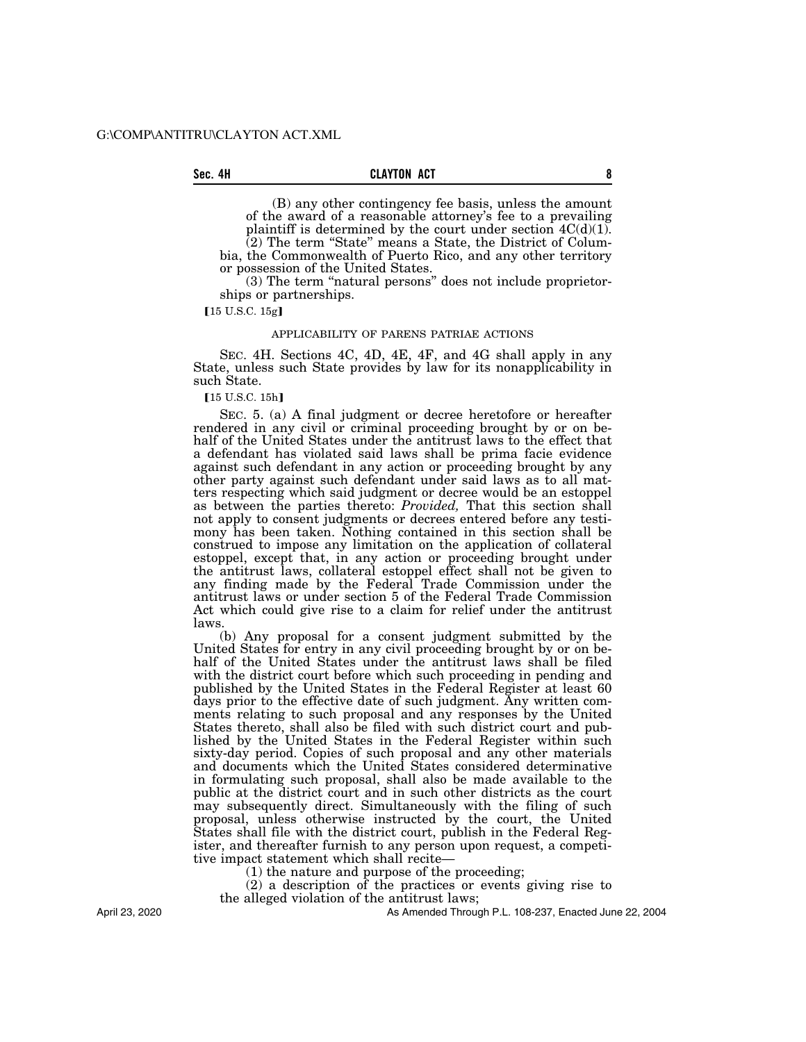# Sec. 4H **CLAYTON ACT** 8

(B) any other contingency fee basis, unless the amount of the award of a reasonable attorney's fee to a prevailing plaintiff is determined by the court under section  $4C(d)(1)$ . (2) The term ''State'' means a State, the District of Colum-

bia, the Commonwealth of Puerto Rico, and any other territory or possession of the United States.

(3) The term ''natural persons'' does not include proprietorships or partnerships.

 $[15 \text{ U.S.C. } 15g]$ 

#### APPLICABILITY OF PARENS PATRIAE ACTIONS

SEC. 4H. Sections 4C, 4D, 4E, 4F, and 4G shall apply in any State, unless such State provides by law for its nonapplicability in such State.

[15 U.S.C. 15h]

SEC. 5. (a) A final judgment or decree heretofore or hereafter rendered in any civil or criminal proceeding brought by or on behalf of the United States under the antitrust laws to the effect that a defendant has violated said laws shall be prima facie evidence against such defendant in any action or proceeding brought by any other party against such defendant under said laws as to all matters respecting which said judgment or decree would be an estoppel as between the parties thereto: *Provided,* That this section shall not apply to consent judgments or decrees entered before any testimony has been taken. Nothing contained in this section shall be construed to impose any limitation on the application of collateral estoppel, except that, in any action or proceeding brought under the antitrust laws, collateral estoppel effect shall not be given to any finding made by the Federal Trade Commission under the antitrust laws or under section 5 of the Federal Trade Commission Act which could give rise to a claim for relief under the antitrust laws.

(b) Any proposal for a consent judgment submitted by the United States for entry in any civil proceeding brought by or on behalf of the United States under the antitrust laws shall be filed with the district court before which such proceeding in pending and published by the United States in the Federal Register at least 60 days prior to the effective date of such judgment. Any written comments relating to such proposal and any responses by the United States thereto, shall also be filed with such district court and published by the United States in the Federal Register within such sixty-day period. Copies of such proposal and any other materials and documents which the United States considered determinative in formulating such proposal, shall also be made available to the public at the district court and in such other districts as the court may subsequently direct. Simultaneously with the filing of such proposal, unless otherwise instructed by the court, the United States shall file with the district court, publish in the Federal Register, and thereafter furnish to any person upon request, a competitive impact statement which shall recite—

(1) the nature and purpose of the proceeding;

(2) a description of the practices or events giving rise to the alleged violation of the antitrust laws;

As Amended Through P.L. 108-237, Enacted June 22, 2004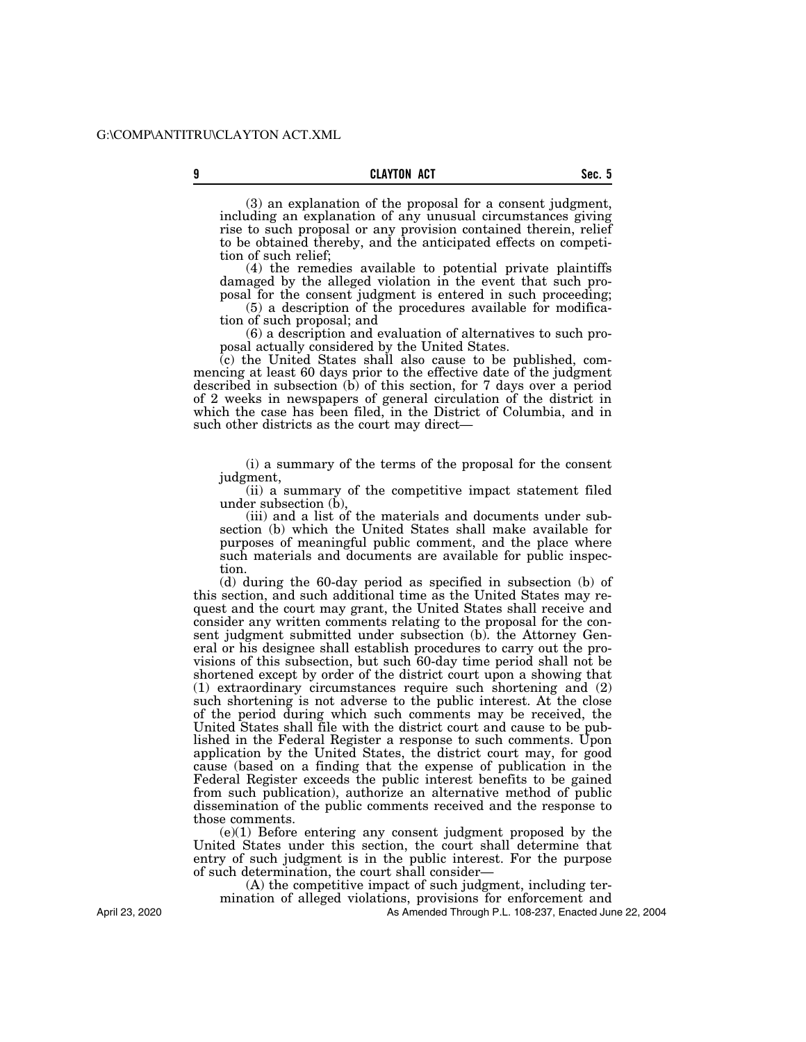## **9** Sec. 5

(3) an explanation of the proposal for a consent judgment, including an explanation of any unusual circumstances giving rise to such proposal or any provision contained therein, relief to be obtained thereby, and the anticipated effects on competition of such relief;

(4) the remedies available to potential private plaintiffs damaged by the alleged violation in the event that such proposal for the consent judgment is entered in such proceeding; (5) a description of the procedures available for modifica-

tion of such proposal; and

(6) a description and evaluation of alternatives to such proposal actually considered by the United States.

(c) the United States shall also cause to be published, commencing at least 60 days prior to the effective date of the judgment described in subsection (b) of this section, for 7 days over a period of 2 weeks in newspapers of general circulation of the district in which the case has been filed, in the District of Columbia, and in such other districts as the court may direct—

(i) a summary of the terms of the proposal for the consent judgment,

(ii) a summary of the competitive impact statement filed under subsection (b),

(iii) and a list of the materials and documents under subsection (b) which the United States shall make available for purposes of meaningful public comment, and the place where such materials and documents are available for public inspection.

(d) during the 60-day period as specified in subsection (b) of this section, and such additional time as the United States may request and the court may grant, the United States shall receive and consider any written comments relating to the proposal for the consent judgment submitted under subsection (b). the Attorney General or his designee shall establish procedures to carry out the provisions of this subsection, but such 60-day time period shall not be shortened except by order of the district court upon a showing that (1) extraordinary circumstances require such shortening and (2) such shortening is not adverse to the public interest. At the close of the period during which such comments may be received, the United States shall file with the district court and cause to be published in the Federal Register a response to such comments. Upon application by the United States, the district court may, for good cause (based on a finding that the expense of publication in the Federal Register exceeds the public interest benefits to be gained from such publication), authorize an alternative method of public dissemination of the public comments received and the response to those comments.

(e)(1) Before entering any consent judgment proposed by the United States under this section, the court shall determine that entry of such judgment is in the public interest. For the purpose of such determination, the court shall consider—

(A) the competitive impact of such judgment, including termination of alleged violations, provisions for enforcement and

As Amended Through P.L. 108-237, Enacted June 22, 2004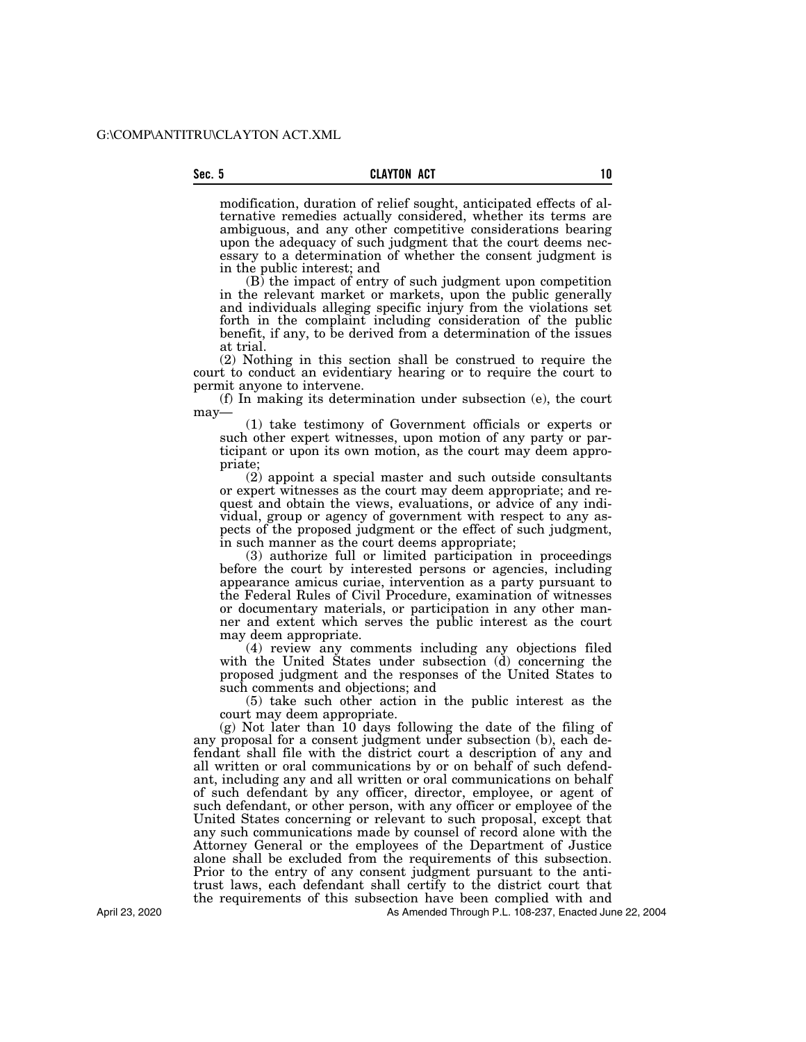modification, duration of relief sought, anticipated effects of alternative remedies actually considered, whether its terms are ambiguous, and any other competitive considerations bearing upon the adequacy of such judgment that the court deems necessary to a determination of whether the consent judgment is in the public interest; and

(B) the impact of entry of such judgment upon competition in the relevant market or markets, upon the public generally and individuals alleging specific injury from the violations set forth in the complaint including consideration of the public benefit, if any, to be derived from a determination of the issues at trial.

(2) Nothing in this section shall be construed to require the court to conduct an evidentiary hearing or to require the court to permit anyone to intervene.

(f) In making its determination under subsection (e), the court may—

(1) take testimony of Government officials or experts or such other expert witnesses, upon motion of any party or participant or upon its own motion, as the court may deem appropriate;

(2) appoint a special master and such outside consultants or expert witnesses as the court may deem appropriate; and request and obtain the views, evaluations, or advice of any individual, group or agency of government with respect to any aspects of the proposed judgment or the effect of such judgment, in such manner as the court deems appropriate;

(3) authorize full or limited participation in proceedings before the court by interested persons or agencies, including appearance amicus curiae, intervention as a party pursuant to the Federal Rules of Civil Procedure, examination of witnesses or documentary materials, or participation in any other manner and extent which serves the public interest as the court may deem appropriate.

(4) review any comments including any objections filed with the United States under subsection (d) concerning the proposed judgment and the responses of the United States to such comments and objections; and

(5) take such other action in the public interest as the court may deem appropriate.

(g) Not later than 10 days following the date of the filing of any proposal for a consent judgment under subsection (b), each defendant shall file with the district court a description of any and all written or oral communications by or on behalf of such defendant, including any and all written or oral communications on behalf of such defendant by any officer, director, employee, or agent of such defendant, or other person, with any officer or employee of the United States concerning or relevant to such proposal, except that any such communications made by counsel of record alone with the Attorney General or the employees of the Department of Justice alone shall be excluded from the requirements of this subsection. Prior to the entry of any consent judgment pursuant to the antitrust laws, each defendant shall certify to the district court that the requirements of this subsection have been complied with and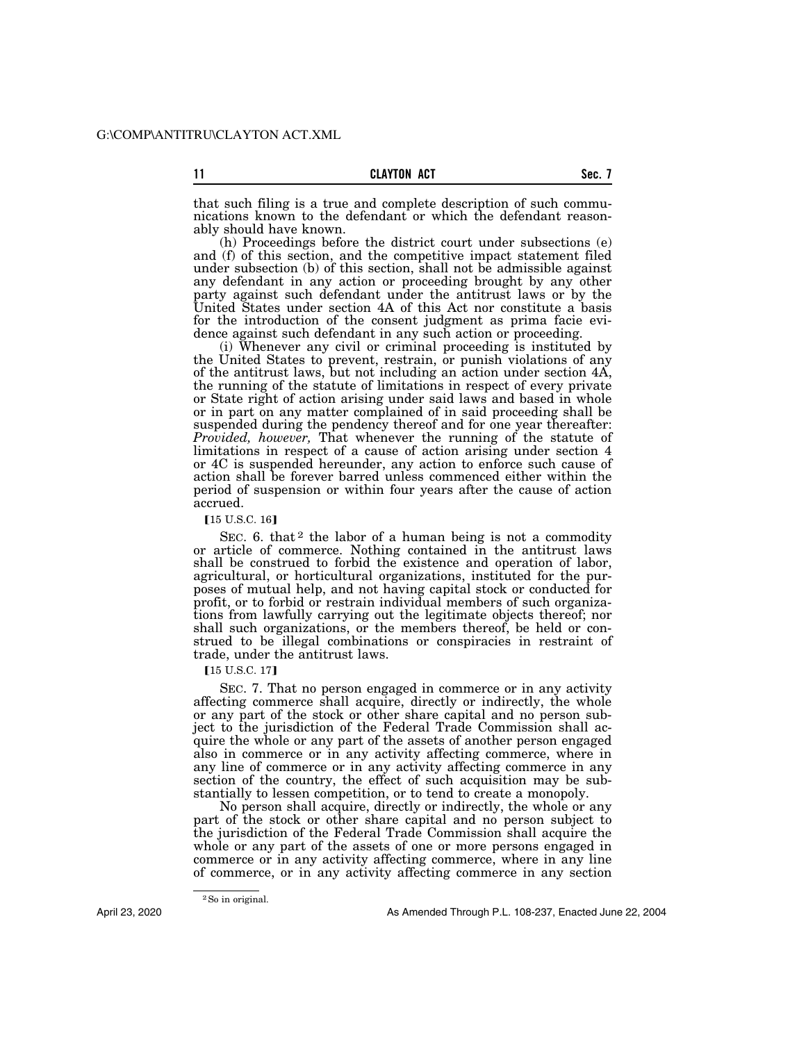that such filing is a true and complete description of such communications known to the defendant or which the defendant reasonably should have known.

(h) Proceedings before the district court under subsections (e) and (f) of this section, and the competitive impact statement filed under subsection (b) of this section, shall not be admissible against any defendant in any action or proceeding brought by any other party against such defendant under the antitrust laws or by the United States under section 4A of this Act nor constitute a basis for the introduction of the consent judgment as prima facie evidence against such defendant in any such action or proceeding.

(i) Whenever any civil or criminal proceeding is instituted by the United States to prevent, restrain, or punish violations of any of the antitrust laws, but not including an action under section 4A, the running of the statute of limitations in respect of every private or State right of action arising under said laws and based in whole or in part on any matter complained of in said proceeding shall be suspended during the pendency thereof and for one year thereafter: *Provided, however,* That whenever the running of the statute of limitations in respect of a cause of action arising under section 4 or 4C is suspended hereunder, any action to enforce such cause of action shall be forever barred unless commenced either within the period of suspension or within four years after the cause of action accrued.

[15 U.S.C. 16]

SEC. 6. that  $2$  the labor of a human being is not a commodity or article of commerce. Nothing contained in the antitrust laws shall be construed to forbid the existence and operation of labor, agricultural, or horticultural organizations, instituted for the purposes of mutual help, and not having capital stock or conducted for profit, or to forbid or restrain individual members of such organizations from lawfully carrying out the legitimate objects thereof; nor shall such organizations, or the members thereof, be held or construed to be illegal combinations or conspiracies in restraint of trade, under the antitrust laws.

**[15 U.S.C. 17]** 

SEC. 7. That no person engaged in commerce or in any activity affecting commerce shall acquire, directly or indirectly, the whole or any part of the stock or other share capital and no person subject to the jurisdiction of the Federal Trade Commission shall acquire the whole or any part of the assets of another person engaged also in commerce or in any activity affecting commerce, where in any line of commerce or in any activity affecting commerce in any section of the country, the effect of such acquisition may be substantially to lessen competition, or to tend to create a monopoly.

No person shall acquire, directly or indirectly, the whole or any part of the stock or other share capital and no person subject to the jurisdiction of the Federal Trade Commission shall acquire the whole or any part of the assets of one or more persons engaged in commerce or in any activity affecting commerce, where in any line of commerce, or in any activity affecting commerce in any section

<sup>2</sup>So in original.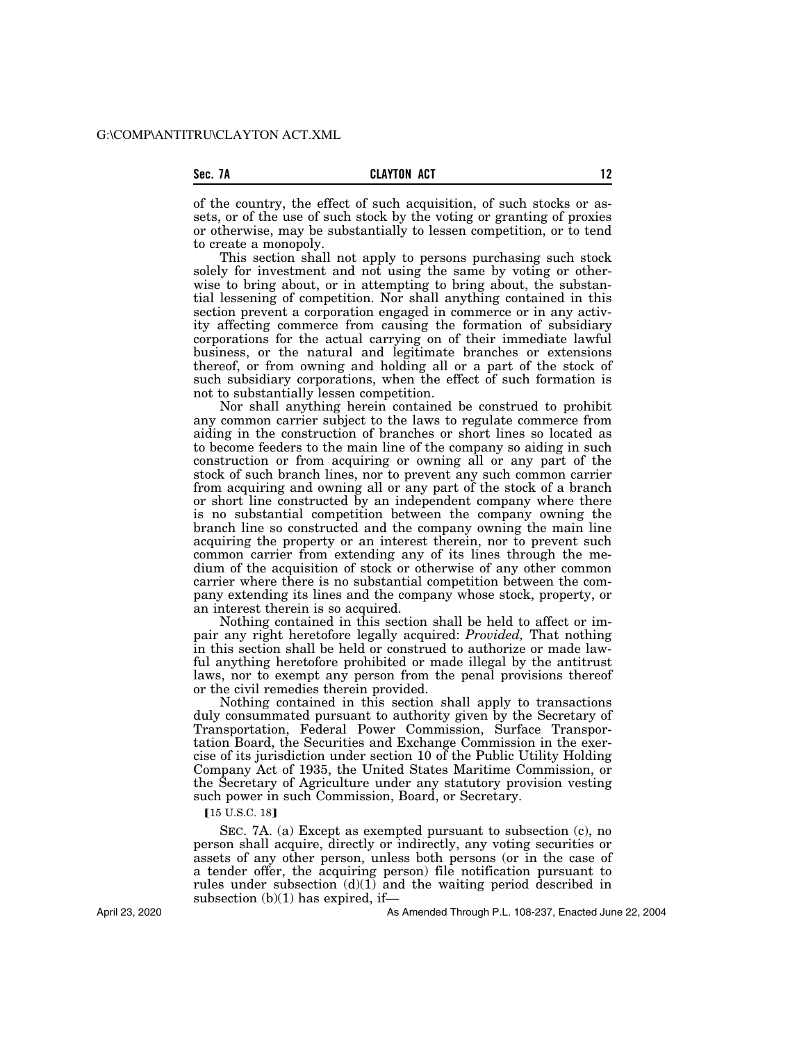of the country, the effect of such acquisition, of such stocks or assets, or of the use of such stock by the voting or granting of proxies or otherwise, may be substantially to lessen competition, or to tend to create a monopoly.

This section shall not apply to persons purchasing such stock solely for investment and not using the same by voting or otherwise to bring about, or in attempting to bring about, the substantial lessening of competition. Nor shall anything contained in this section prevent a corporation engaged in commerce or in any activity affecting commerce from causing the formation of subsidiary corporations for the actual carrying on of their immediate lawful business, or the natural and legitimate branches or extensions thereof, or from owning and holding all or a part of the stock of such subsidiary corporations, when the effect of such formation is not to substantially lessen competition.

Nor shall anything herein contained be construed to prohibit any common carrier subject to the laws to regulate commerce from aiding in the construction of branches or short lines so located as to become feeders to the main line of the company so aiding in such construction or from acquiring or owning all or any part of the stock of such branch lines, nor to prevent any such common carrier from acquiring and owning all or any part of the stock of a branch or short line constructed by an independent company where there is no substantial competition between the company owning the branch line so constructed and the company owning the main line acquiring the property or an interest therein, nor to prevent such common carrier from extending any of its lines through the medium of the acquisition of stock or otherwise of any other common carrier where there is no substantial competition between the company extending its lines and the company whose stock, property, or an interest therein is so acquired.

Nothing contained in this section shall be held to affect or impair any right heretofore legally acquired: *Provided,* That nothing in this section shall be held or construed to authorize or made lawful anything heretofore prohibited or made illegal by the antitrust laws, nor to exempt any person from the penal provisions thereof or the civil remedies therein provided.

Nothing contained in this section shall apply to transactions duly consummated pursuant to authority given by the Secretary of Transportation, Federal Power Commission, Surface Transportation Board, the Securities and Exchange Commission in the exercise of its jurisdiction under section 10 of the Public Utility Holding Company Act of 1935, the United States Maritime Commission, or the Secretary of Agriculture under any statutory provision vesting such power in such Commission, Board, or Secretary.

**[15 U.S.C. 18]** 

SEC. 7A. (a) Except as exempted pursuant to subsection (c), no person shall acquire, directly or indirectly, any voting securities or assets of any other person, unless both persons (or in the case of a tender offer, the acquiring person) file notification pursuant to rules under subsection  $(d)(1)$  and the waiting period described in subsection (b)(1) has expired, if—

As Amended Through P.L. 108-237, Enacted June 22, 2004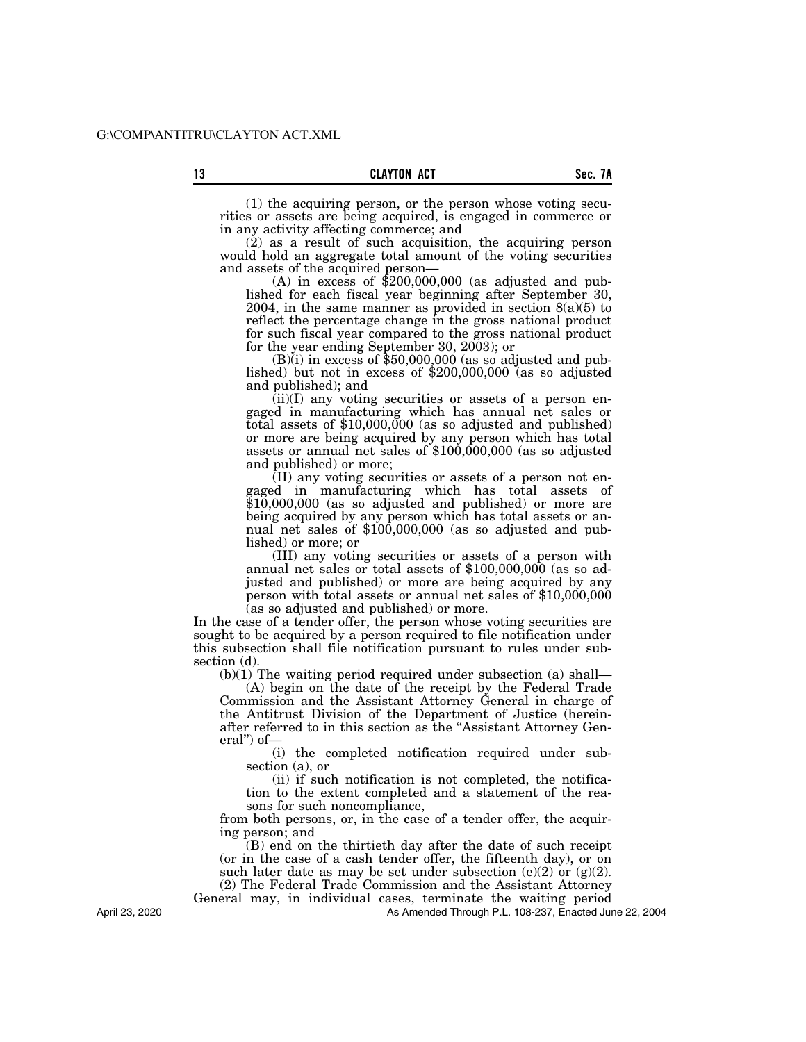(1) the acquiring person, or the person whose voting securities or assets are being acquired, is engaged in commerce or in any activity affecting commerce; and

(2) as a result of such acquisition, the acquiring person would hold an aggregate total amount of the voting securities<br>and assets of the acquired person—

(A) in excess of  $$200,000,000$  (as adjusted and published for each fiscal year beginning after September 30, 2004, in the same manner as provided in section  $8(a)(5)$  to reflect the percentage change in the gross national product for such fiscal year compared to the gross national product

for the year ending September 30, 2003); or (B)(i) in excess of \$50,000,000 (as so adjusted and pub- lished) but not in excess of \$200,000,000 (as so adjusted and published); and

 $(iii)(I)$  any voting securities or assets of a person engaged in manufacturing which has annual net sales or total assets of  $$10,000,000$  (as so adjusted and published) or more are being acquired by any person which has total assets or annual net sales of \$100,000,000 (as so adjusted and published) or more;

 $\overline{(\text{II})}$  any voting securities or assets of a person not engaged in manufacturing which has total assets of \$10,000,000 (as so adjusted and published) or more are being acquired by any person which has total assets or annual net sales of \$100,000,000 (as so adjusted and published) or more; or

(III) any voting securities or assets of a person with annual net sales or total assets of \$100,000,000 (as so adjusted and published) or more are being acquired by any person with total assets or annual net sales of \$10,000,000 (as so adjusted and published) or more.

In the case of a tender offer, the person whose voting securities are sought to be acquired by a person required to file notification under this subsection shall file notification pursuant to rules under subsection (d).

 $(b)(1)$  The waiting period required under subsection (a) shall—

(A) begin on the date of the receipt by the Federal Trade Commission and the Assistant Attorney General in charge of the Antitrust Division of the Department of Justice (hereinafter referred to in this section as the "Assistant Attorney General'') of—

(i) the completed notification required under subsection (a), or

(ii) if such notification is not completed, the notification to the extent completed and a statement of the reasons for such noncompliance,

from both persons, or, in the case of a tender offer, the acquiring person; and

(B) end on the thirtieth day after the date of such receipt (or in the case of a cash tender offer, the fifteenth day), or on such later date as may be set under subsection  $(e)(2)$  or  $(g)(2)$ . (2) The Federal Trade Commission and the Assistant Attorney

General may, in individual cases, terminate the waiting period

As Amended Through P.L. 108-237, Enacted June 22, 2004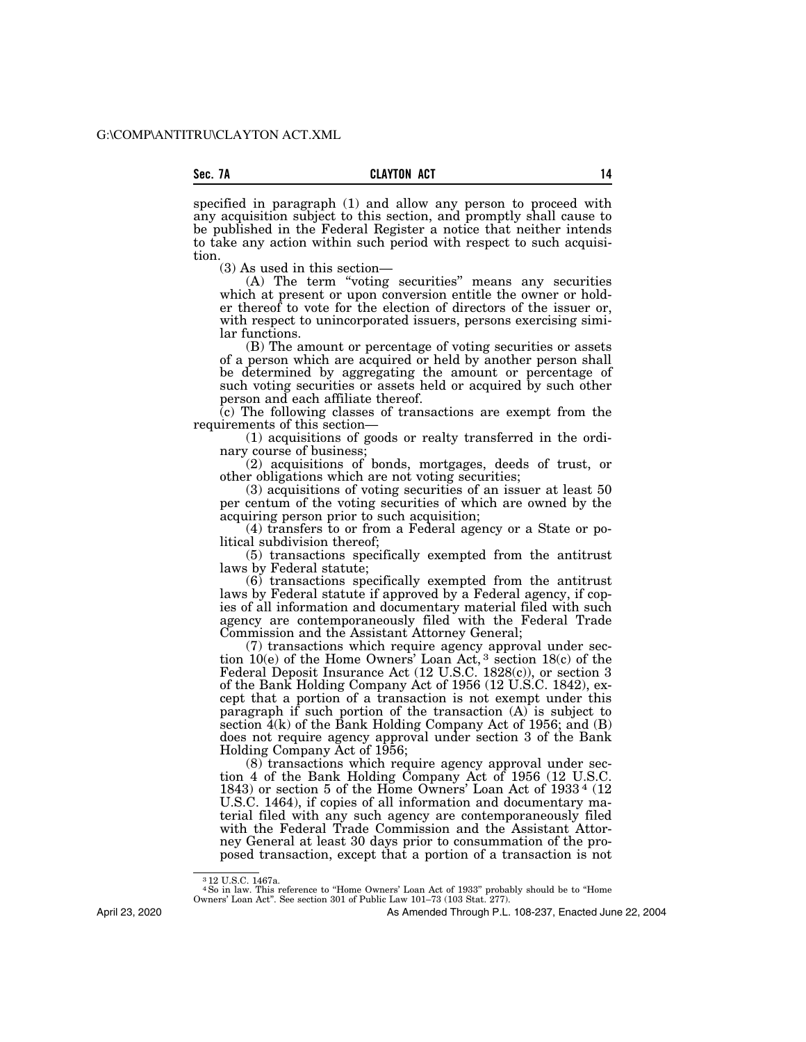specified in paragraph (1) and allow any person to proceed with any acquisition subject to this section, and promptly shall cause to be published in the Federal Register a notice that neither intends to take any action within such period with respect to such acquisition.

(3) As used in this section—

(A) The term ''voting securities'' means any securities which at present or upon conversion entitle the owner or holder thereof to vote for the election of directors of the issuer or, with respect to unincorporated issuers, persons exercising similar functions.

(B) The amount or percentage of voting securities or assets of a person which are acquired or held by another person shall be determined by aggregating the amount or percentage of such voting securities or assets held or acquired by such other person and each affiliate thereof.

 $(c)$  The following classes of transactions are exempt from the requirements of this section—

(1) acquisitions of goods or realty transferred in the ordinary course of business;

(2) acquisitions of bonds, mortgages, deeds of trust, or other obligations which are not voting securities;

(3) acquisitions of voting securities of an issuer at least 50 per centum of the voting securities of which are owned by the acquiring person prior to such acquisition;

(4) transfers to or from a Federal agency or a State or political subdivision thereof;

(5) transactions specifically exempted from the antitrust laws by Federal statute;

(6) transactions specifically exempted from the antitrust laws by Federal statute if approved by a Federal agency, if copies of all information and documentary material filed with such agency are contemporaneously filed with the Federal Trade Commission and the Assistant Attorney General;

(7) transactions which require agency approval under section 10(e) of the Home Owners' Loan Act, 3 section 18(c) of the Federal Deposit Insurance Act (12 U.S.C. 1828(c)), or section 3 of the Bank Holding Company Act of 1956 (12 U.S.C. 1842), except that a portion of a transaction is not exempt under this paragraph if such portion of the transaction  $(A)$  is subject to section  $\overline{4}$ (k) of the Bank Holding Company Act of 1956; and (B) does not require agency approval under section 3 of the Bank Holding Company Act of 1956;

(8) transactions which require agency approval under section 4 of the Bank Holding Company Act of 1956 (12 U.S.C. 1843) or section 5 of the Home Owners' Loan Act of  $1933<sup>4</sup>$  (12) U.S.C. 1464), if copies of all information and documentary material filed with any such agency are contemporaneously filed with the Federal Trade Commission and the Assistant Attorney General at least 30 days prior to consummation of the proposed transaction, except that a portion of a transaction is not

April 23, 2020

<sup>3</sup> 12 U.S.C. 1467a.

<sup>4</sup>So in law. This reference to ''Home Owners' Loan Act of 1933'' probably should be to ''Home Owners' Loan Act''. See section 301 of Public Law 101–73 (103 Stat. 277).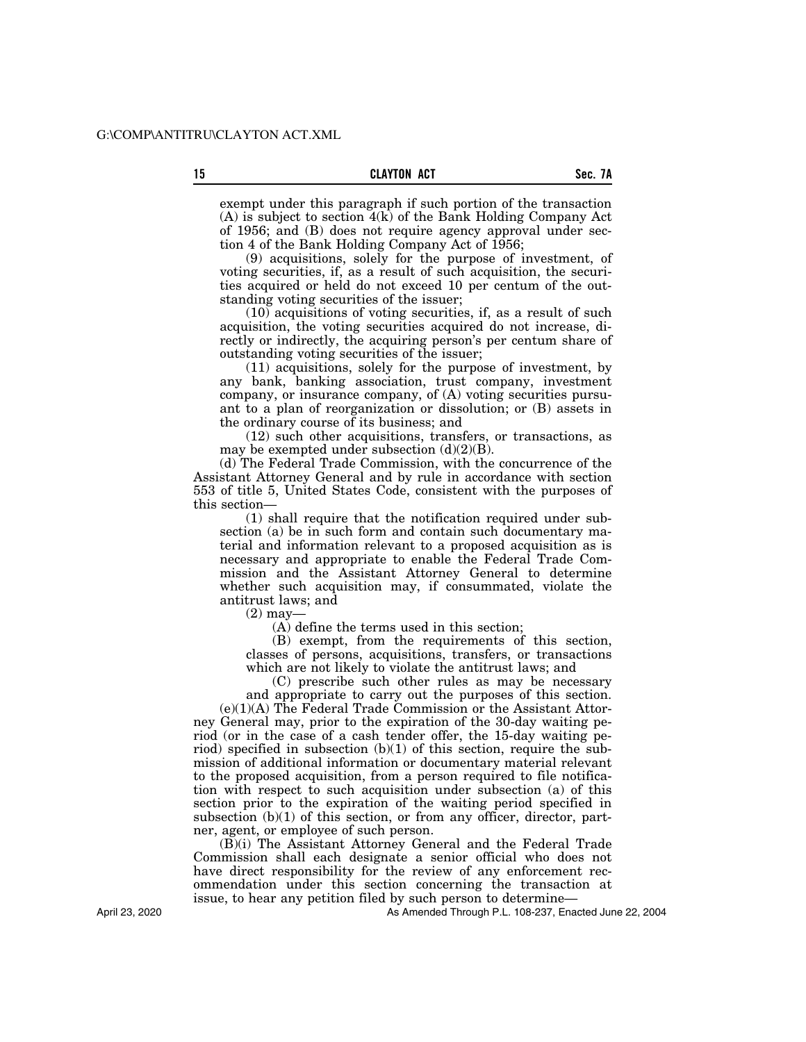**15 Sec. 7A CLAYTON ACT** 

exempt under this paragraph if such portion of the transaction (A) is subject to section 4(k) of the Bank Holding Company Act of 1956; and (B) does not require agency approval under section 4 of the Bank Holding Company Act of 1956;

(9) acquisitions, solely for the purpose of investment, of voting securities, if, as a result of such acquisition, the securities acquired or held do not exceed 10 per centum of the outstanding voting securities of the issuer;

(10) acquisitions of voting securities, if, as a result of such acquisition, the voting securities acquired do not increase, directly or indirectly, the acquiring person's per centum share of outstanding voting securities of the issuer;

(11) acquisitions, solely for the purpose of investment, by any bank, banking association, trust company, investment company, or insurance company, of (A) voting securities pursuant to a plan of reorganization or dissolution; or (B) assets in the ordinary course of its business; and

(12) such other acquisitions, transfers, or transactions, as may be exempted under subsection  $(d)(2)(B)$ .

(d) The Federal Trade Commission, with the concurrence of the Assistant Attorney General and by rule in accordance with section 553 of title 5, United States Code, consistent with the purposes of this section—

(1) shall require that the notification required under subsection (a) be in such form and contain such documentary material and information relevant to a proposed acquisition as is necessary and appropriate to enable the Federal Trade Commission and the Assistant Attorney General to determine whether such acquisition may, if consummated, violate the antitrust laws; and

 $(2)$  may-

(A) define the terms used in this section;

(B) exempt, from the requirements of this section, classes of persons, acquisitions, transfers, or transactions which are not likely to violate the antitrust laws; and

(C) prescribe such other rules as may be necessary and appropriate to carry out the purposes of this section.

(e)(1)(A) The Federal Trade Commission or the Assistant Attorney General may, prior to the expiration of the 30-day waiting period (or in the case of a cash tender offer, the 15-day waiting period) specified in subsection  $(b)(1)$  of this section, require the submission of additional information or documentary material relevant to the proposed acquisition, from a person required to file notification with respect to such acquisition under subsection (a) of this section prior to the expiration of the waiting period specified in subsection (b)(1) of this section, or from any officer, director, partner, agent, or employee of such person.

(B)(i) The Assistant Attorney General and the Federal Trade Commission shall each designate a senior official who does not have direct responsibility for the review of any enforcement recommendation under this section concerning the transaction at issue, to hear any petition filed by such person to determine—

As Amended Through P.L. 108-237, Enacted June 22, 2004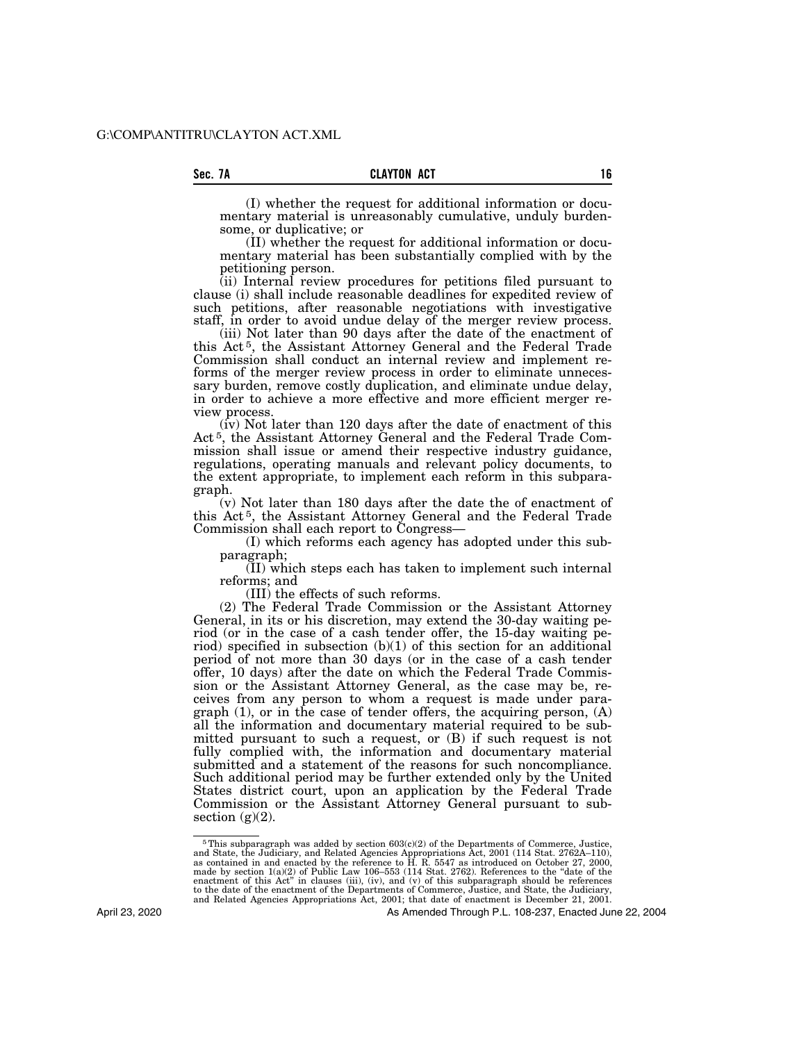(I) whether the request for additional information or documentary material is unreasonably cumulative, unduly burdensome, or duplicative; or

(II) whether the request for additional information or documentary material has been substantially complied with by the petitioning person.

(ii) Internal review procedures for petitions filed pursuant to clause (i) shall include reasonable deadlines for expedited review of such petitions, after reasonable negotiations with investigative staff, in order to avoid undue delay of the merger review process.

(iii) Not later than 90 days after the date of the enactment of this Act 5, the Assistant Attorney General and the Federal Trade Commission shall conduct an internal review and implement reforms of the merger review process in order to eliminate unnecessary burden, remove costly duplication, and eliminate undue delay, in order to achieve a more effective and more efficient merger review process.

(iv) Not later than 120 days after the date of enactment of this Act 5, the Assistant Attorney General and the Federal Trade Commission shall issue or amend their respective industry guidance, regulations, operating manuals and relevant policy documents, to the extent appropriate, to implement each reform in this subparagraph.

(v) Not later than 180 days after the date the of enactment of this Act 5, the Assistant Attorney General and the Federal Trade Commission shall each report to Congress—

(I) which reforms each agency has adopted under this subparagraph;

(II) which steps each has taken to implement such internal reforms; and

(III) the effects of such reforms.

(2) The Federal Trade Commission or the Assistant Attorney General, in its or his discretion, may extend the 30-day waiting period (or in the case of a cash tender offer, the 15-day waiting period) specified in subsection (b)(1) of this section for an additional period of not more than 30 days (or in the case of a cash tender offer, 10 days) after the date on which the Federal Trade Commission or the Assistant Attorney General, as the case may be, receives from any person to whom a request is made under paragraph (1), or in the case of tender offers, the acquiring person, (A) all the information and documentary material required to be submitted pursuant to such a request, or (B) if such request is not fully complied with, the information and documentary material submitted and a statement of the reasons for such noncompliance. Such additional period may be further extended only by the United States district court, upon an application by the Federal Trade Commission or the Assistant Attorney General pursuant to subsection  $(g)(2)$ .

<sup>&</sup>lt;sup>5</sup>This subparagraph was added by section  $603(c)(2)$  of the Departments of Commerce, Justice, and State, the Judiciary, and Related Agencies Appropriations Act, 2001 (114 Stat. 2762A-110), made by section 1(a)(2) of Public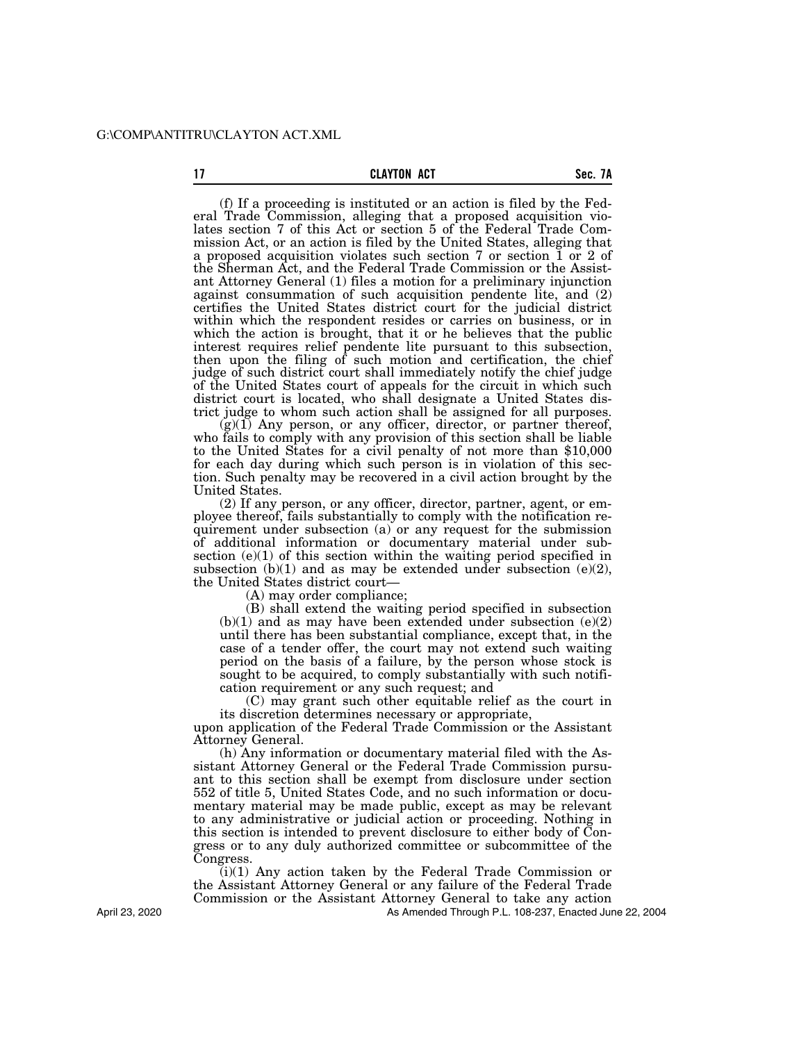#### **17 Sec. 7A CLAYTON ACT**

(f) If a proceeding is instituted or an action is filed by the Federal Trade Commission, alleging that a proposed acquisition violates section 7 of this Act or section 5 of the Federal Trade Commission Act, or an action is filed by the United States, alleging that a proposed acquisition violates such section 7 or section 1 or 2 of the Sherman Act, and the Federal Trade Commission or the Assistant Attorney General (1) files a motion for a preliminary injunction against consummation of such acquisition pendente lite, and (2) certifies the United States district court for the judicial district within which the respondent resides or carries on business, or in which the action is brought, that it or he believes that the public interest requires relief pendente lite pursuant to this subsection, then upon the filing of such motion and certification, the chief judge of such district court shall immediately notify the chief judge of the United States court of appeals for the circuit in which such district court is located, who shall designate a United States district judge to whom such action shall be assigned for all purposes.

 $(g)(1)$  Any person, or any officer, director, or partner thereof, who fails to comply with any provision of this section shall be liable to the United States for a civil penalty of not more than \$10,000 for each day during which such person is in violation of this section. Such penalty may be recovered in a civil action brought by the United States.

(2) If any person, or any officer, director, partner, agent, or employee thereof, fails substantially to comply with the notification requirement under subsection (a) or any request for the submission of additional information or documentary material under subsection  $(e)(1)$  of this section within the waiting period specified in subsection  $(b)(1)$  and as may be extended under subsection  $(e)(2)$ , the United States district court—

(A) may order compliance;

(B) shall extend the waiting period specified in subsection  $(b)(1)$  and as may have been extended under subsection  $(e)(2)$ until there has been substantial compliance, except that, in the case of a tender offer, the court may not extend such waiting period on the basis of a failure, by the person whose stock is sought to be acquired, to comply substantially with such notification requirement or any such request; and

(C) may grant such other equitable relief as the court in its discretion determines necessary or appropriate,

upon application of the Federal Trade Commission or the Assistant Attorney General.

(h) Any information or documentary material filed with the Assistant Attorney General or the Federal Trade Commission pursuant to this section shall be exempt from disclosure under section 552 of title 5, United States Code, and no such information or documentary material may be made public, except as may be relevant to any administrative or judicial action or proceeding. Nothing in this section is intended to prevent disclosure to either body of Congress or to any duly authorized committee or subcommittee of the Congress.

(i)(1) Any action taken by the Federal Trade Commission or the Assistant Attorney General or any failure of the Federal Trade Commission or the Assistant Attorney General to take any action

As Amended Through P.L. 108-237, Enacted June 22, 2004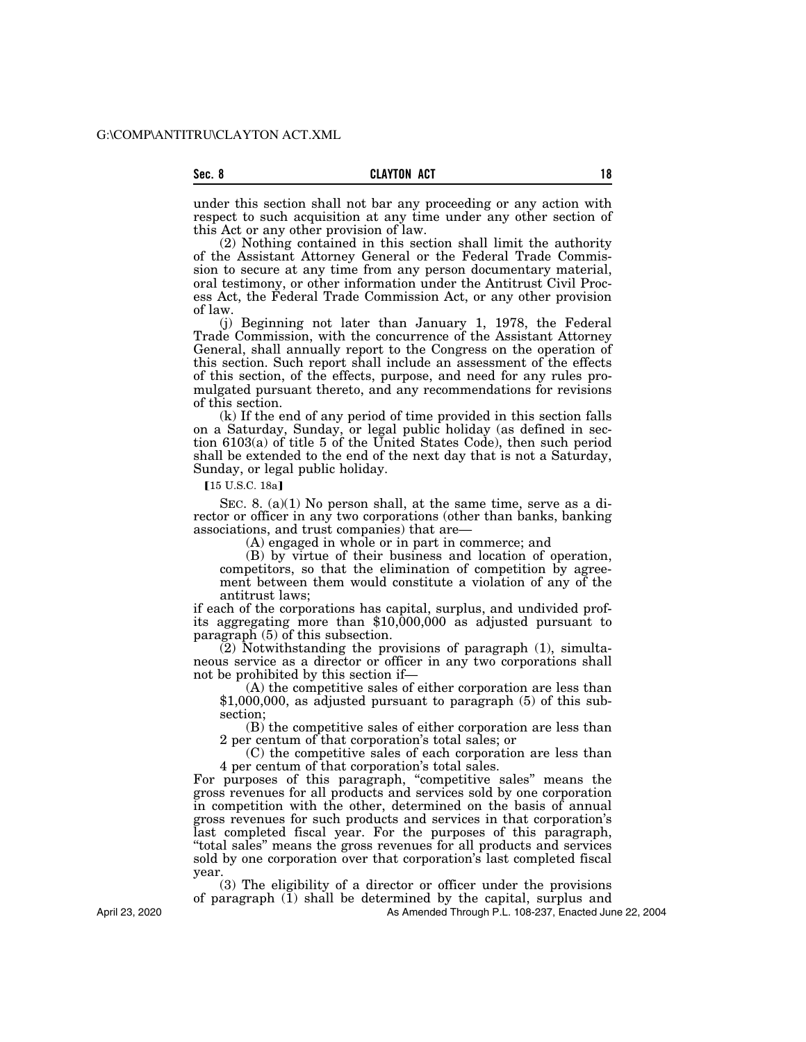under this section shall not bar any proceeding or any action with respect to such acquisition at any time under any other section of this Act or any other provision of law.

(2) Nothing contained in this section shall limit the authority of the Assistant Attorney General or the Federal Trade Commission to secure at any time from any person documentary material, oral testimony, or other information under the Antitrust Civil Process Act, the Federal Trade Commission Act, or any other provision of law.

(j) Beginning not later than January 1, 1978, the Federal Trade Commission, with the concurrence of the Assistant Attorney General, shall annually report to the Congress on the operation of this section. Such report shall include an assessment of the effects of this section, of the effects, purpose, and need for any rules promulgated pursuant thereto, and any recommendations for revisions of this section.

(k) If the end of any period of time provided in this section falls on a Saturday, Sunday, or legal public holiday (as defined in section 6103(a) of title 5 of the United States Code), then such period shall be extended to the end of the next day that is not a Saturday, Sunday, or legal public holiday.

[15 U.S.C. 18a]

SEC. 8. (a)(1) No person shall, at the same time, serve as a director or officer in any two corporations (other than banks, banking associations, and trust companies) that are—

(A) engaged in whole or in part in commerce; and

(B) by virtue of their business and location of operation, competitors, so that the elimination of competition by agreement between them would constitute a violation of any of the antitrust laws;

if each of the corporations has capital, surplus, and undivided profits aggregating more than \$10,000,000 as adjusted pursuant to paragraph (5) of this subsection.

 $(2)$  Notwithstanding the provisions of paragraph  $(1)$ , simultaneous service as a director or officer in any two corporations shall not be prohibited by this section if—

(A) the competitive sales of either corporation are less than \$1,000,000, as adjusted pursuant to paragraph (5) of this subsection;

(B) the competitive sales of either corporation are less than 2 per centum of that corporation's total sales; or

(C) the competitive sales of each corporation are less than 4 per centum of that corporation's total sales.

For purposes of this paragraph, "competitive sales" means the gross revenues for all products and services sold by one corporation in competition with the other, determined on the basis of annual gross revenues for such products and services in that corporation's last completed fiscal year. For the purposes of this paragraph, ''total sales'' means the gross revenues for all products and services sold by one corporation over that corporation's last completed fiscal year.

(3) The eligibility of a director or officer under the provisions

of paragraph (1) shall be determined by the capital, surplus and As Amended Through P.L. 108-237, Enacted June 22, 2004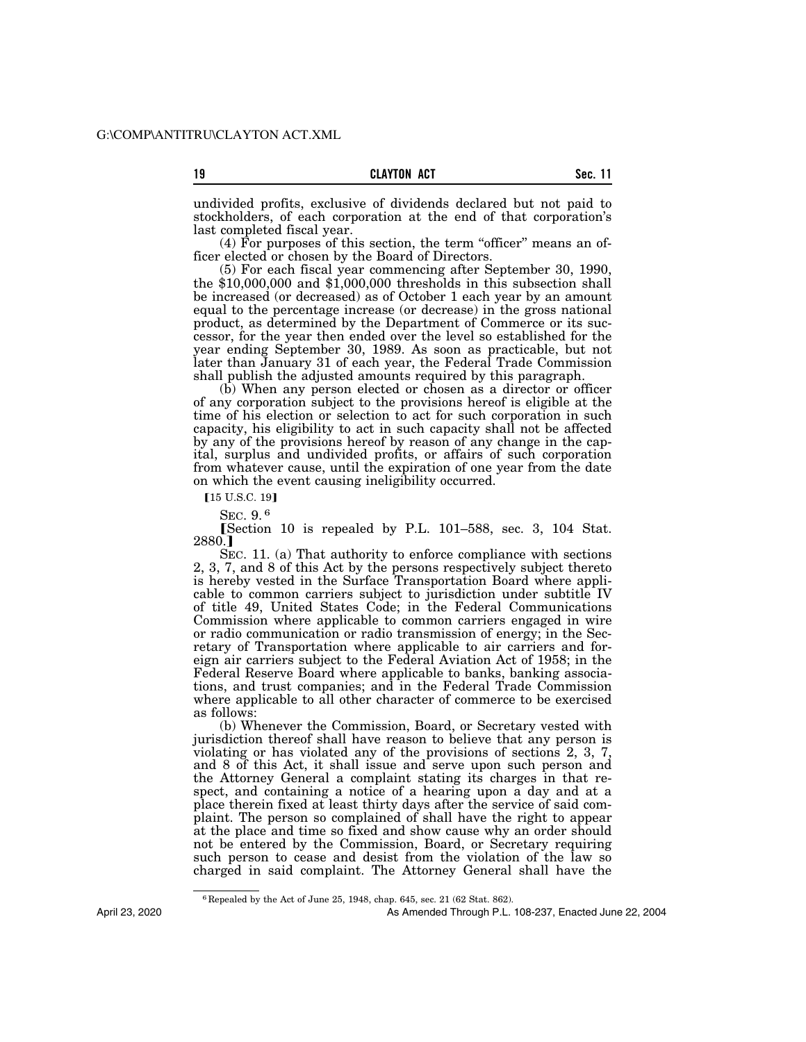undivided profits, exclusive of dividends declared but not paid to stockholders, of each corporation at the end of that corporation's last completed fiscal year.

 $(4)$  For purposes of this section, the term "officer" means an officer elected or chosen by the Board of Directors.

(5) For each fiscal year commencing after September 30, 1990, the \$10,000,000 and \$1,000,000 thresholds in this subsection shall be increased (or decreased) as of October 1 each year by an amount equal to the percentage increase (or decrease) in the gross national product, as determined by the Department of Commerce or its successor, for the year then ended over the level so established for the year ending September 30, 1989. As soon as practicable, but not later than January 31 of each year, the Federal Trade Commission shall publish the adjusted amounts required by this paragraph.

(b) When any person elected or chosen as a director or officer of any corporation subject to the provisions hereof is eligible at the time of his election or selection to act for such corporation in such capacity, his eligibility to act in such capacity shall not be affected by any of the provisions hereof by reason of any change in the capital, surplus and undivided profits, or affairs of such corporation from whatever cause, until the expiration of one year from the date on which the event causing ineligibility occurred.

[15 U.S.C. 19]

SEC. 9. 6

 $Section$  10 is repealed by P.L. 101–588, sec. 3, 104 Stat. 2880.1

SEC. 11. (a) That authority to enforce compliance with sections 2, 3, 7, and 8 of this Act by the persons respectively subject thereto is hereby vested in the Surface Transportation Board where applicable to common carriers subject to jurisdiction under subtitle IV of title 49, United States Code; in the Federal Communications Commission where applicable to common carriers engaged in wire or radio communication or radio transmission of energy; in the Secretary of Transportation where applicable to air carriers and foreign air carriers subject to the Federal Aviation Act of 1958; in the Federal Reserve Board where applicable to banks, banking associations, and trust companies; and in the Federal Trade Commission where applicable to all other character of commerce to be exercised as follows:

(b) Whenever the Commission, Board, or Secretary vested with jurisdiction thereof shall have reason to believe that any person is violating or has violated any of the provisions of sections 2, 3, 7, and 8 of this Act, it shall issue and serve upon such person and the Attorney General a complaint stating its charges in that respect, and containing a notice of a hearing upon a day and at a place therein fixed at least thirty days after the service of said complaint. The person so complained of shall have the right to appear at the place and time so fixed and show cause why an order should not be entered by the Commission, Board, or Secretary requiring such person to cease and desist from the violation of the law so charged in said complaint. The Attorney General shall have the

6 Repealed by the Act of June 25, 1948, chap. 645, sec. 21 (62 Stat. 862).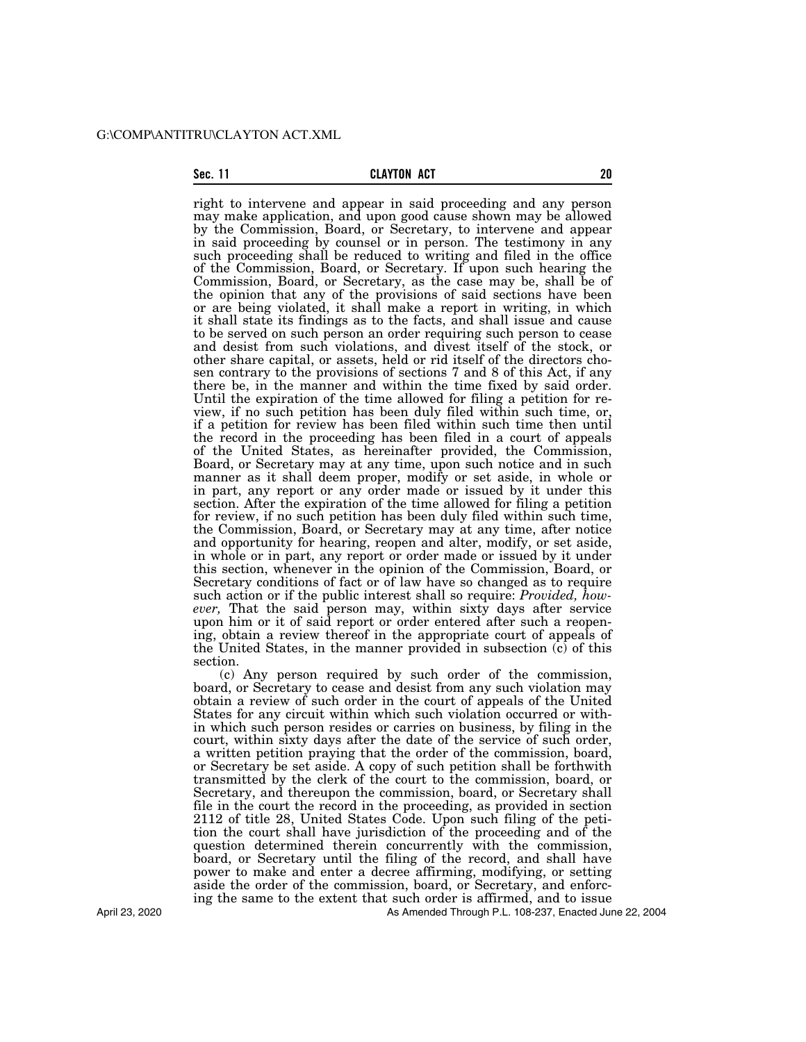## **Sec. 11 CLAYTON ACT 20**

right to intervene and appear in said proceeding and any person may make application, and upon good cause shown may be allowed by the Commission, Board, or Secretary, to intervene and appear in said proceeding by counsel or in person. The testimony in any such proceeding shall be reduced to writing and filed in the office of the Commission, Board, or Secretary. If upon such hearing the Commission, Board, or Secretary, as the case may be, shall be of the opinion that any of the provisions of said sections have been or are being violated, it shall make a report in writing, in which it shall state its findings as to the facts, and shall issue and cause to be served on such person an order requiring such person to cease and desist from such violations, and divest itself of the stock, or other share capital, or assets, held or rid itself of the directors chosen contrary to the provisions of sections 7 and 8 of this Act, if any there be, in the manner and within the time fixed by said order. Until the expiration of the time allowed for filing a petition for review, if no such petition has been duly filed within such time, or, if a petition for review has been filed within such time then until the record in the proceeding has been filed in a court of appeals of the United States, as hereinafter provided, the Commission, Board, or Secretary may at any time, upon such notice and in such manner as it shall deem proper, modify or set aside, in whole or in part, any report or any order made or issued by it under this section. After the expiration of the time allowed for filing a petition for review, if no such petition has been duly filed within such time, the Commission, Board, or Secretary may at any time, after notice and opportunity for hearing, reopen and alter, modify, or set aside, in whole or in part, any report or order made or issued by it under this section, whenever in the opinion of the Commission, Board, or Secretary conditions of fact or of law have so changed as to require such action or if the public interest shall so require: *Provided, however,* That the said person may, within sixty days after service upon him or it of said report or order entered after such a reopening, obtain a review thereof in the appropriate court of appeals of the United States, in the manner provided in subsection (c) of this section.

(c) Any person required by such order of the commission, board, or Secretary to cease and desist from any such violation may obtain a review of such order in the court of appeals of the United States for any circuit within which such violation occurred or within which such person resides or carries on business, by filing in the court, within sixty days after the date of the service of such order, a written petition praying that the order of the commission, board, or Secretary be set aside. A copy of such petition shall be forthwith transmitted by the clerk of the court to the commission, board, or Secretary, and thereupon the commission, board, or Secretary shall file in the court the record in the proceeding, as provided in section 2112 of title 28, United States Code. Upon such filing of the petition the court shall have jurisdiction of the proceeding and of the question determined therein concurrently with the commission, board, or Secretary until the filing of the record, and shall have power to make and enter a decree affirming, modifying, or setting aside the order of the commission, board, or Secretary, and enforcing the same to the extent that such order is affirmed, and to issue

As Amended Through P.L. 108-237, Enacted June 22, 2004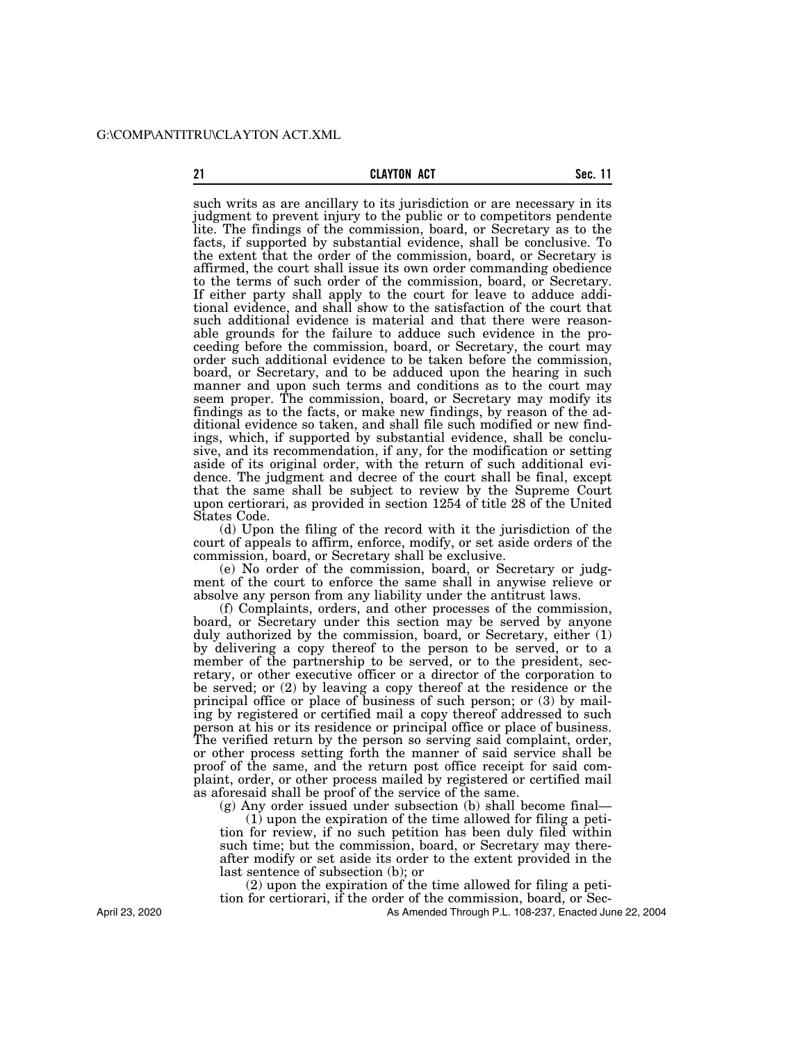## **21 CLAYTON ACT Sec. 11**

such writs as are ancillary to its jurisdiction or are necessary in its judgment to prevent injury to the public or to competitors pendente lite. The findings of the commission, board, or Secretary as to the facts, if supported by substantial evidence, shall be conclusive. To the extent that the order of the commission, board, or Secretary is affirmed, the court shall issue its own order commanding obedience to the terms of such order of the commission, board, or Secretary. If either party shall apply to the court for leave to adduce additional evidence, and shall show to the satisfaction of the court that such additional evidence is material and that there were reasonable grounds for the failure to adduce such evidence in the proceeding before the commission, board, or Secretary, the court may order such additional evidence to be taken before the commission, board, or Secretary, and to be adduced upon the hearing in such manner and upon such terms and conditions as to the court may seem proper. The commission, board, or Secretary may modify its findings as to the facts, or make new findings, by reason of the additional evidence so taken, and shall file such modified or new findings, which, if supported by substantial evidence, shall be conclusive, and its recommendation, if any, for the modification or setting aside of its original order, with the return of such additional evidence. The judgment and decree of the court shall be final, except that the same shall be subject to review by the Supreme Court upon certiorari, as provided in section 1254 of title 28 of the United States Code.

(d) Upon the filing of the record with it the jurisdiction of the court of appeals to affirm, enforce, modify, or set aside orders of the commission, board, or Secretary shall be exclusive.

(e) No order of the commission, board, or Secretary or judgment of the court to enforce the same shall in anywise relieve or absolve any person from any liability under the antitrust laws.

(f) Complaints, orders, and other processes of the commission, board, or Secretary under this section may be served by anyone duly authorized by the commission, board, or Secretary, either (1) by delivering a copy thereof to the person to be served, or to a member of the partnership to be served, or to the president, secretary, or other executive officer or a director of the corporation to be served; or (2) by leaving a copy thereof at the residence or the principal office or place of business of such person; or (3) by mailing by registered or certified mail a copy thereof addressed to such person at his or its residence or principal office or place of business. The verified return by the person so serving said complaint, order, or other process setting forth the manner of said service shall be proof of the same, and the return post office receipt for said complaint, order, or other process mailed by registered or certified mail as aforesaid shall be proof of the service of the same.

(g) Any order issued under subsection (b) shall become final—

(1) upon the expiration of the time allowed for filing a petition for review, if no such petition has been duly filed within such time; but the commission, board, or Secretary may thereafter modify or set aside its order to the extent provided in the last sentence of subsection (b); or

(2) upon the expiration of the time allowed for filing a petition for certiorari, if the order of the commission, board, or Sec-

As Amended Through P.L. 108-237, Enacted June 22, 2004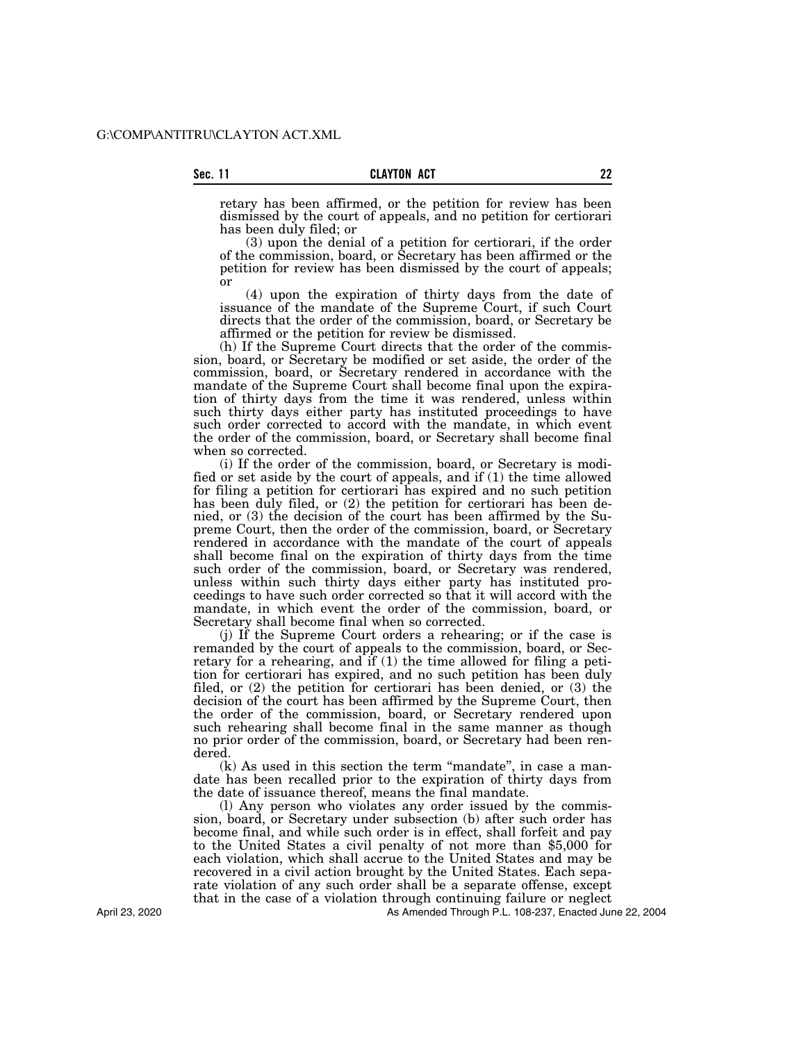retary has been affirmed, or the petition for review has been dismissed by the court of appeals, and no petition for certiorari has been duly filed; or

(3) upon the denial of a petition for certiorari, if the order of the commission, board, or Secretary has been affirmed or the petition for review has been dismissed by the court of appeals; or

(4) upon the expiration of thirty days from the date of issuance of the mandate of the Supreme Court, if such Court directs that the order of the commission, board, or Secretary be affirmed or the petition for review be dismissed.

(h) If the Supreme Court directs that the order of the commission, board, or Secretary be modified or set aside, the order of the commission, board, or Secretary rendered in accordance with the mandate of the Supreme Court shall become final upon the expiration of thirty days from the time it was rendered, unless within such thirty days either party has instituted proceedings to have such order corrected to accord with the mandate, in which event the order of the commission, board, or Secretary shall become final when so corrected.

(i) If the order of the commission, board, or Secretary is modified or set aside by the court of appeals, and if (1) the time allowed for filing a petition for certiorari has expired and no such petition has been duly filed, or (2) the petition for certiorari has been denied, or (3) the decision of the court has been affirmed by the Supreme Court, then the order of the commission, board, or Secretary rendered in accordance with the mandate of the court of appeals shall become final on the expiration of thirty days from the time such order of the commission, board, or Secretary was rendered, unless within such thirty days either party has instituted proceedings to have such order corrected so that it will accord with the mandate, in which event the order of the commission, board, or Secretary shall become final when so corrected.

(j) If the Supreme Court orders a rehearing; or if the case is remanded by the court of appeals to the commission, board, or Secretary for a rehearing, and if (1) the time allowed for filing a petition for certiorari has expired, and no such petition has been duly filed, or (2) the petition for certiorari has been denied, or (3) the decision of the court has been affirmed by the Supreme Court, then the order of the commission, board, or Secretary rendered upon such rehearing shall become final in the same manner as though no prior order of the commission, board, or Secretary had been rendered.

(k) As used in this section the term ''mandate'', in case a mandate has been recalled prior to the expiration of thirty days from the date of issuance thereof, means the final mandate.

(l) Any person who violates any order issued by the commission, board, or Secretary under subsection (b) after such order has become final, and while such order is in effect, shall forfeit and pay to the United States a civil penalty of not more than \$5,000 for each violation, which shall accrue to the United States and may be recovered in a civil action brought by the United States. Each separate violation of any such order shall be a separate offense, except that in the case of a violation through continuing failure or neglect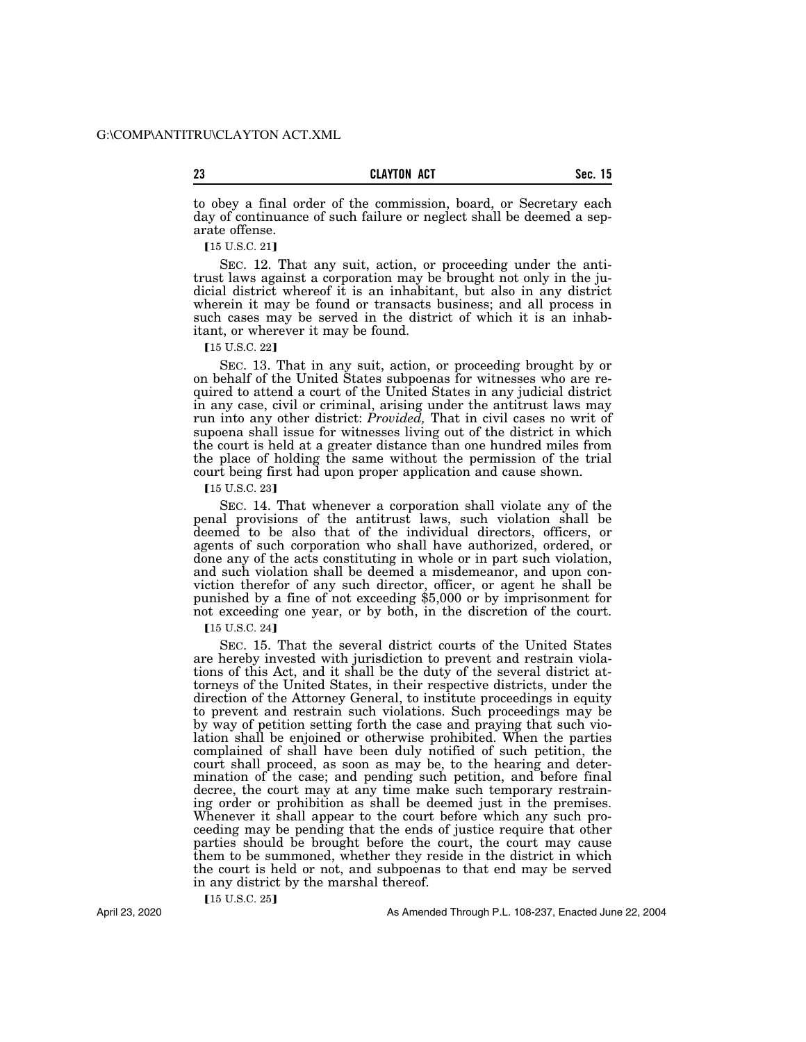to obey a final order of the commission, board, or Secretary each day of continuance of such failure or neglect shall be deemed a separate offense.

#### [15 U.S.C. 21]

SEC. 12. That any suit, action, or proceeding under the antitrust laws against a corporation may be brought not only in the judicial district whereof it is an inhabitant, but also in any district wherein it may be found or transacts business; and all process in such cases may be served in the district of which it is an inhabitant, or wherever it may be found.

#### [15 U.S.C. 22]

SEC. 13. That in any suit, action, or proceeding brought by or on behalf of the United States subpoenas for witnesses who are required to attend a court of the United States in any judicial district in any case, civil or criminal, arising under the antitrust laws may run into any other district: *Provided,* That in civil cases no writ of supoena shall issue for witnesses living out of the district in which the court is held at a greater distance than one hundred miles from the place of holding the same without the permission of the trial court being first had upon proper application and cause shown.

#### **[15 U.S.C. 23]**

SEC. 14. That whenever a corporation shall violate any of the penal provisions of the antitrust laws, such violation shall be deemed to be also that of the individual directors, officers, or agents of such corporation who shall have authorized, ordered, or done any of the acts constituting in whole or in part such violation, and such violation shall be deemed a misdemeanor, and upon conviction therefor of any such director, officer, or agent he shall be punished by a fine of not exceeding \$5,000 or by imprisonment for not exceeding one year, or by both, in the discretion of the court.

**F15 U.S.C. 241** 

SEC. 15. That the several district courts of the United States are hereby invested with jurisdiction to prevent and restrain violations of this Act, and it shall be the duty of the several district attorneys of the United States, in their respective districts, under the direction of the Attorney General, to institute proceedings in equity to prevent and restrain such violations. Such proceedings may be by way of petition setting forth the case and praying that such violation shall be enjoined or otherwise prohibited. When the parties complained of shall have been duly notified of such petition, the court shall proceed, as soon as may be, to the hearing and determination of the case; and pending such petition, and before final decree, the court may at any time make such temporary restraining order or prohibition as shall be deemed just in the premises. Whenever it shall appear to the court before which any such proceeding may be pending that the ends of justice require that other parties should be brought before the court, the court may cause them to be summoned, whether they reside in the district in which the court is held or not, and subpoenas to that end may be served in any district by the marshal thereof.

[15 U.S.C. 25]

As Amended Through P.L. 108-237, Enacted June 22, 2004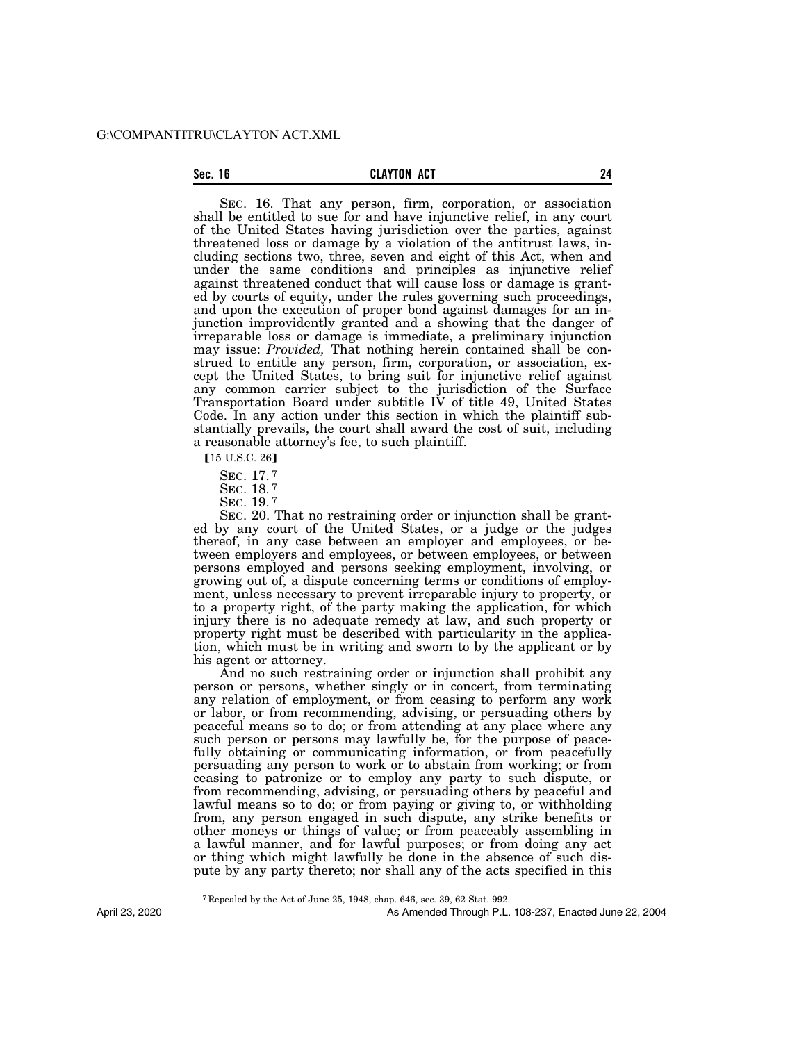## **Sec. 16 CLAYTON ACT 24**

SEC. 16. That any person, firm, corporation, or association shall be entitled to sue for and have injunctive relief, in any court of the United States having jurisdiction over the parties, against threatened loss or damage by a violation of the antitrust laws, including sections two, three, seven and eight of this Act, when and under the same conditions and principles as injunctive relief against threatened conduct that will cause loss or damage is granted by courts of equity, under the rules governing such proceedings, and upon the execution of proper bond against damages for an injunction improvidently granted and a showing that the danger of irreparable loss or damage is immediate, a preliminary injunction may issue: *Provided,* That nothing herein contained shall be construed to entitle any person, firm, corporation, or association, except the United States, to bring suit for injunctive relief against any common carrier subject to the jurisdiction of the Surface Transportation Board under subtitle IV of title 49, United States Code. In any action under this section in which the plaintiff substantially prevails, the court shall award the cost of suit, including a reasonable attorney's fee, to such plaintiff.

[15 U.S.C. 26]

SEC. 17. 7

SEC. 18. 7

SEC. 19. 7

SEC. 20. That no restraining order or injunction shall be granted by any court of the United States, or a judge or the judges thereof, in any case between an employer and employees, or between employers and employees, or between employees, or between persons employed and persons seeking employment, involving, or growing out of, a dispute concerning terms or conditions of employment, unless necessary to prevent irreparable injury to property, or to a property right, of the party making the application, for which injury there is no adequate remedy at law, and such property or property right must be described with particularity in the application, which must be in writing and sworn to by the applicant or by his agent or attorney.

And no such restraining order or injunction shall prohibit any person or persons, whether singly or in concert, from terminating any relation of employment, or from ceasing to perform any work or labor, or from recommending, advising, or persuading others by peaceful means so to do; or from attending at any place where any such person or persons may lawfully be, for the purpose of peacefully obtaining or communicating information, or from peacefully persuading any person to work or to abstain from working; or from ceasing to patronize or to employ any party to such dispute, or from recommending, advising, or persuading others by peaceful and lawful means so to do; or from paying or giving to, or withholding from, any person engaged in such dispute, any strike benefits or other moneys or things of value; or from peaceably assembling in a lawful manner, and for lawful purposes; or from doing any act or thing which might lawfully be done in the absence of such dispute by any party thereto; nor shall any of the acts specified in this

7 Repealed by the Act of June 25, 1948, chap. 646, sec. 39, 62 Stat. 992.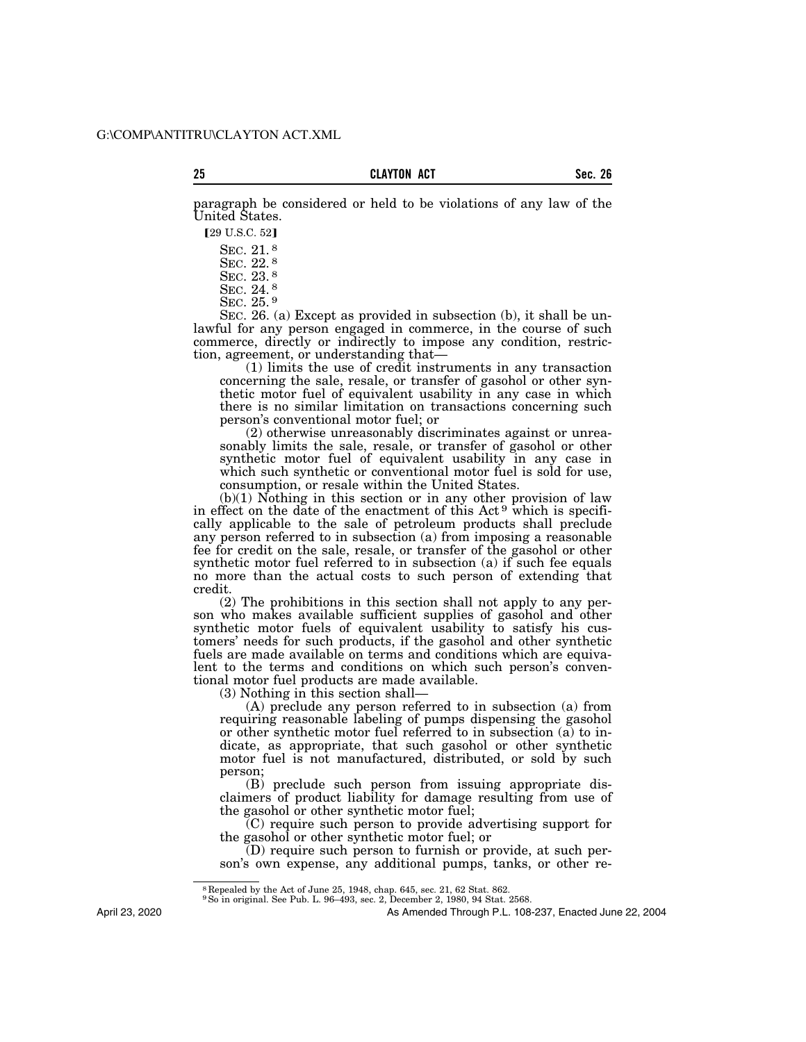paragraph be considered or held to be violations of any law of the United States.

[29 U.S.C. 52] SEC. 21. 8 SEC. 22. 8 SEC. 23. 8

SEC. 24. 8

SEC. 25. 9

SEC. 26. (a) Except as provided in subsection (b), it shall be unlawful for any person engaged in commerce, in the course of such commerce, directly or indirectly to impose any condition, restriction, agreement, or understanding that—

(1) limits the use of credit instruments in any transaction concerning the sale, resale, or transfer of gasohol or other synthetic motor fuel of equivalent usability in any case in which there is no similar limitation on transactions concerning such person's conventional motor fuel; or

(2) otherwise unreasonably discriminates against or unreasonably limits the sale, resale, or transfer of gasohol or other synthetic motor fuel of equivalent usability in any case in which such synthetic or conventional motor fuel is sold for use, consumption, or resale within the United States.

 $(b)(1)$  Nothing in this section or in any other provision of law in effect on the date of the enactment of this Act<sup>9</sup> which is specifically applicable to the sale of petroleum products shall preclude any person referred to in subsection (a) from imposing a reasonable fee for credit on the sale, resale, or transfer of the gasohol or other synthetic motor fuel referred to in subsection (a) if such fee equals no more than the actual costs to such person of extending that credit.

(2) The prohibitions in this section shall not apply to any person who makes available sufficient supplies of gasohol and other synthetic motor fuels of equivalent usability to satisfy his customers' needs for such products, if the gasohol and other synthetic fuels are made available on terms and conditions which are equivalent to the terms and conditions on which such person's conventional motor fuel products are made available.

(3) Nothing in this section shall—

(A) preclude any person referred to in subsection (a) from requiring reasonable labeling of pumps dispensing the gasohol or other synthetic motor fuel referred to in subsection (a) to indicate, as appropriate, that such gasohol or other synthetic motor fuel is not manufactured, distributed, or sold by such person;

(B) preclude such person from issuing appropriate disclaimers of product liability for damage resulting from use of the gasohol or other synthetic motor fuel;

(C) require such person to provide advertising support for the gasohol or other synthetic motor fuel; or

(D) require such person to furnish or provide, at such person's own expense, any additional pumps, tanks, or other re-

 $8$  Repealed by the Act of June 25, 1948, chap. 645, sec. 21, 62 Stat. 862.

As Amended Through P.L. 108-237, Enacted June 22, 2004

<sup>9</sup>So in original. See Pub. L. 96–493, sec. 2, December 2, 1980, 94 Stat. 2568.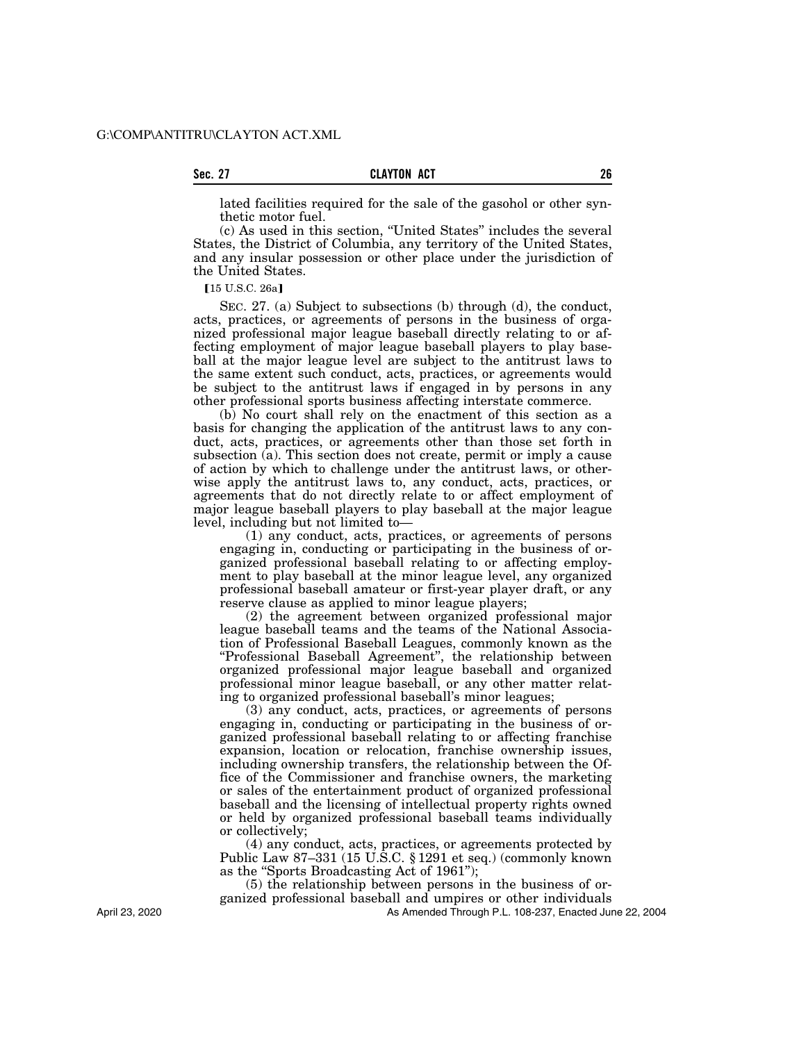lated facilities required for the sale of the gasohol or other synthetic motor fuel.

(c) As used in this section, ''United States'' includes the several States, the District of Columbia, any territory of the United States, and any insular possession or other place under the jurisdiction of the United States.

[15 U.S.C. 26a]

SEC. 27. (a) Subject to subsections (b) through (d), the conduct, acts, practices, or agreements of persons in the business of organized professional major league baseball directly relating to or affecting employment of major league baseball players to play baseball at the major league level are subject to the antitrust laws to the same extent such conduct, acts, practices, or agreements would be subject to the antitrust laws if engaged in by persons in any other professional sports business affecting interstate commerce.

(b) No court shall rely on the enactment of this section as a basis for changing the application of the antitrust laws to any conduct, acts, practices, or agreements other than those set forth in subsection (a). This section does not create, permit or imply a cause of action by which to challenge under the antitrust laws, or otherwise apply the antitrust laws to, any conduct, acts, practices, or agreements that do not directly relate to or affect employment of major league baseball players to play baseball at the major league level, including but not limited to—

(1) any conduct, acts, practices, or agreements of persons engaging in, conducting or participating in the business of organized professional baseball relating to or affecting employment to play baseball at the minor league level, any organized professional baseball amateur or first-year player draft, or any reserve clause as applied to minor league players;

(2) the agreement between organized professional major league baseball teams and the teams of the National Association of Professional Baseball Leagues, commonly known as the ''Professional Baseball Agreement'', the relationship between organized professional major league baseball and organized professional minor league baseball, or any other matter relating to organized professional baseball's minor leagues;

(3) any conduct, acts, practices, or agreements of persons engaging in, conducting or participating in the business of organized professional baseball relating to or affecting franchise expansion, location or relocation, franchise ownership issues, including ownership transfers, the relationship between the Office of the Commissioner and franchise owners, the marketing or sales of the entertainment product of organized professional baseball and the licensing of intellectual property rights owned or held by organized professional baseball teams individually or collectively;

(4) any conduct, acts, practices, or agreements protected by Public Law 87–331 (15 U.S.C. § 1291 et seq.) (commonly known as the ''Sports Broadcasting Act of 1961'');

(5) the relationship between persons in the business of organized professional baseball and umpires or other individuals

As Amended Through P.L. 108-237, Enacted June 22, 2004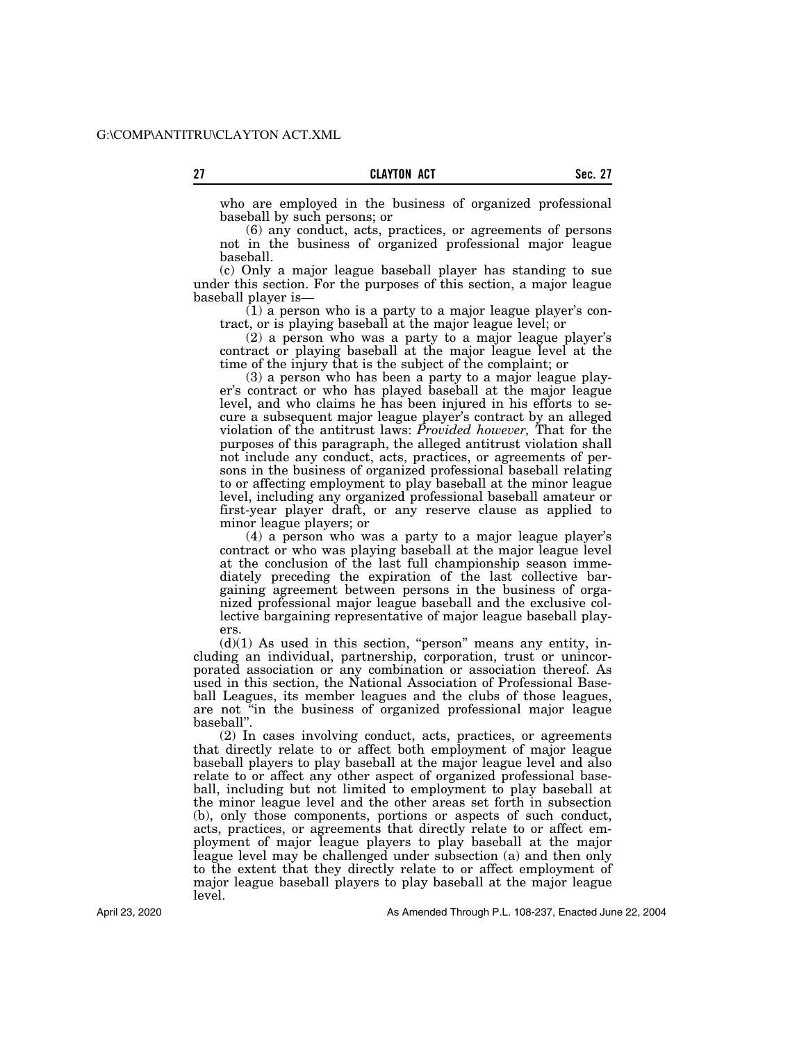who are employed in the business of organized professional baseball by such persons; or

(6) any conduct, acts, practices, or agreements of persons not in the business of organized professional major league baseball.

(c) Only a major league baseball player has standing to sue under this section. For the purposes of this section, a major league baseball player is—

(1) a person who is a party to a major league player's contract, or is playing baseball at the major league level; or

(2) a person who was a party to a major league player's contract or playing baseball at the major league level at the time of the injury that is the subject of the complaint; or

(3) a person who has been a party to a major league player's contract or who has played baseball at the major league level, and who claims he has been injured in his efforts to secure a subsequent major league player's contract by an alleged violation of the antitrust laws: *Provided however,* That for the purposes of this paragraph, the alleged antitrust violation shall not include any conduct, acts, practices, or agreements of persons in the business of organized professional baseball relating to or affecting employment to play baseball at the minor league level, including any organized professional baseball amateur or first-year player draft, or any reserve clause as applied to minor league players; or

(4) a person who was a party to a major league player's contract or who was playing baseball at the major league level at the conclusion of the last full championship season immediately preceding the expiration of the last collective bargaining agreement between persons in the business of organized professional major league baseball and the exclusive collective bargaining representative of major league baseball players.

 $(d)(1)$  As used in this section, "person" means any entity, including an individual, partnership, corporation, trust or unincorporated association or any combination or association thereof. As used in this section, the National Association of Professional Baseball Leagues, its member leagues and the clubs of those leagues, are not ''in the business of organized professional major league baseball''.

(2) In cases involving conduct, acts, practices, or agreements that directly relate to or affect both employment of major league baseball players to play baseball at the major league level and also relate to or affect any other aspect of organized professional baseball, including but not limited to employment to play baseball at the minor league level and the other areas set forth in subsection (b), only those components, portions or aspects of such conduct, acts, practices, or agreements that directly relate to or affect employment of major league players to play baseball at the major league level may be challenged under subsection (a) and then only to the extent that they directly relate to or affect employment of major league baseball players to play baseball at the major league level.